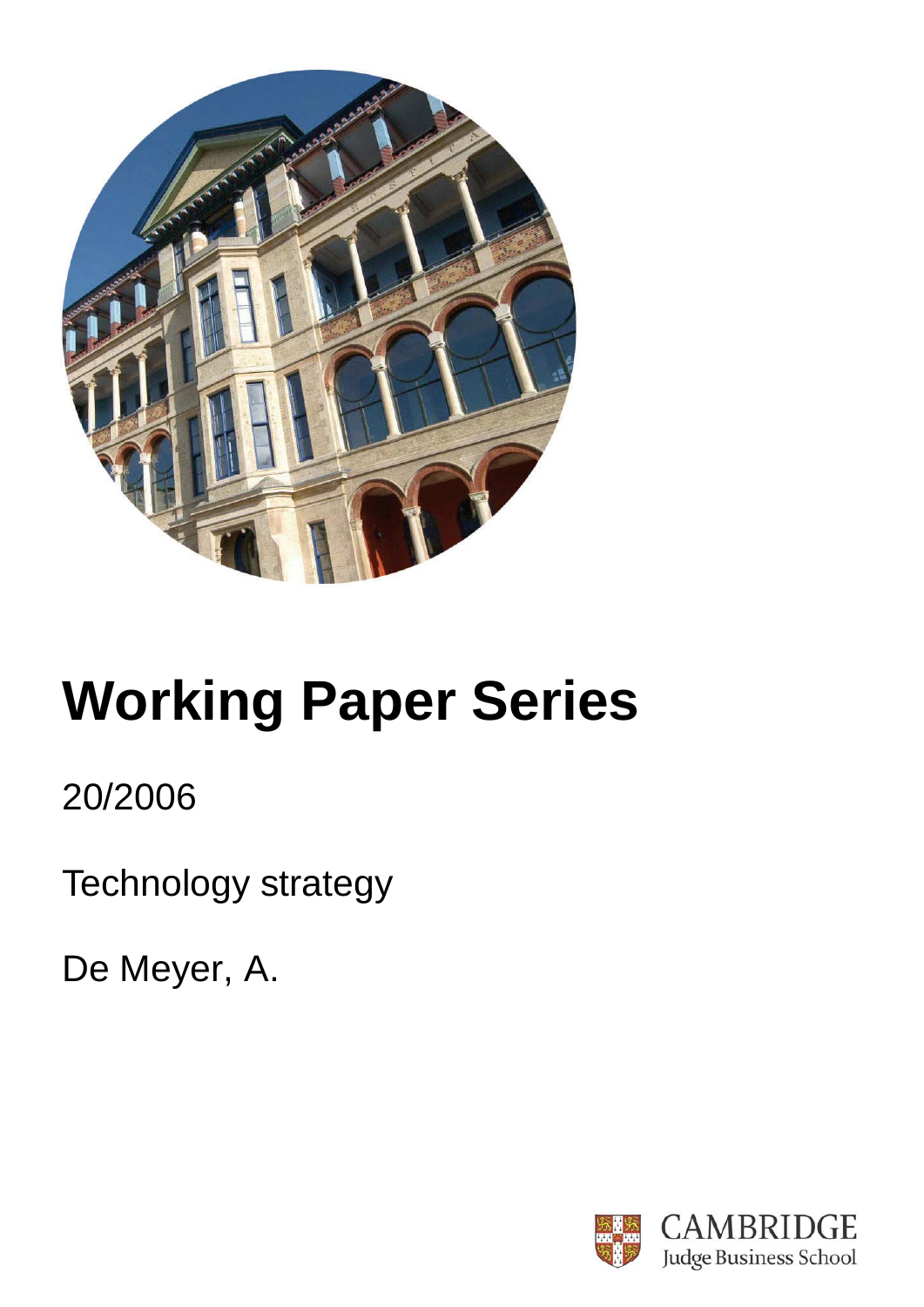

# **Working Paper Series**

## 20/2006

Technology strategy

De Meyer, A.

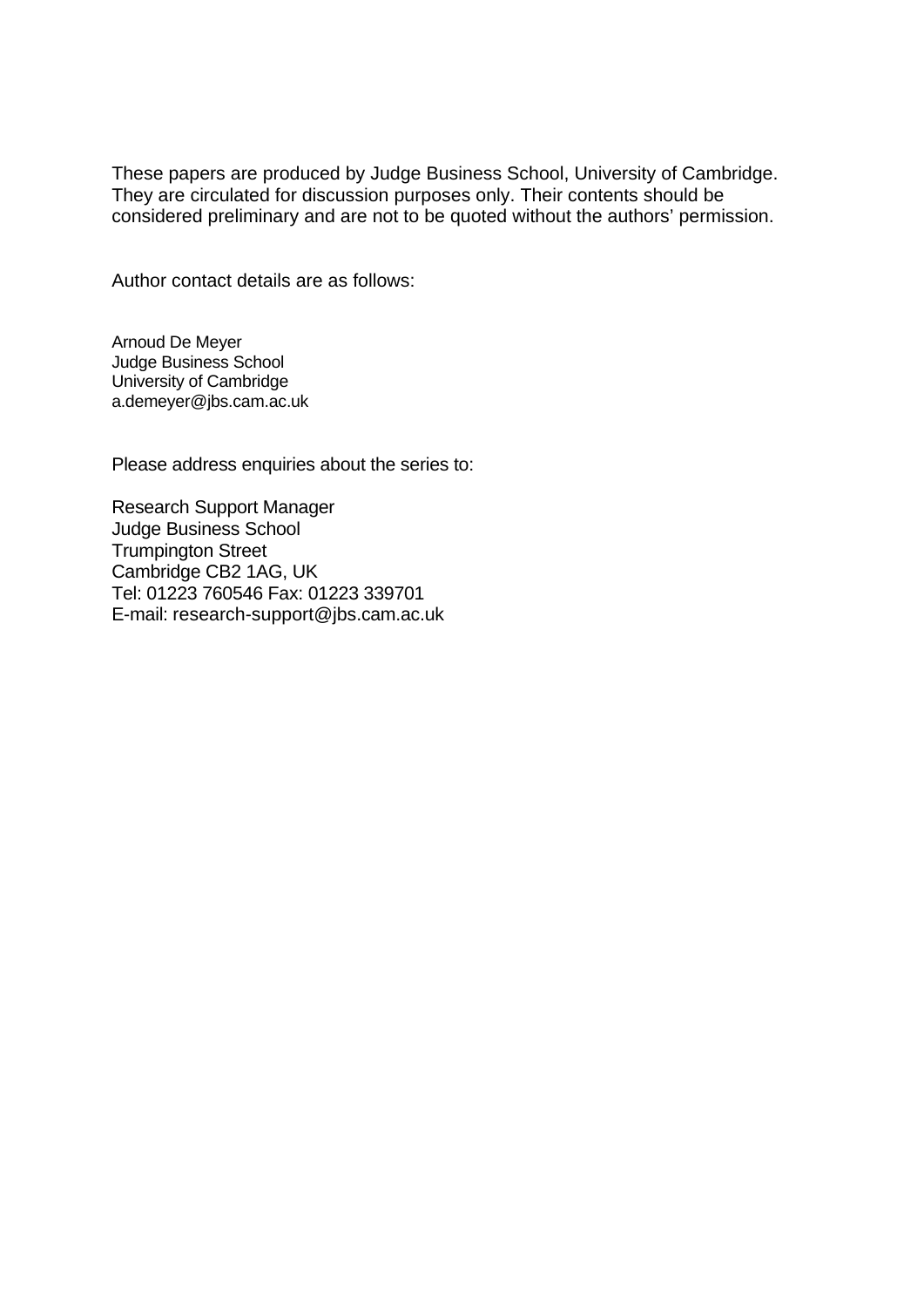These papers are produced by Judge Business School, University of Cambridge. They are circulated for discussion purposes only. Their contents should be considered preliminary and are not to be quoted without the authors' permission.

Author contact details are as follows:

Arnoud De Meyer Judge Business School University of Cambridge a.demeyer@jbs.cam.ac.uk

Please address enquiries about the series to:

Research Support Manager Judge Business School Trumpington Street Cambridge CB2 1AG, UK Tel: 01223 760546 Fax: 01223 339701 E-mail: research-support@jbs.cam.ac.uk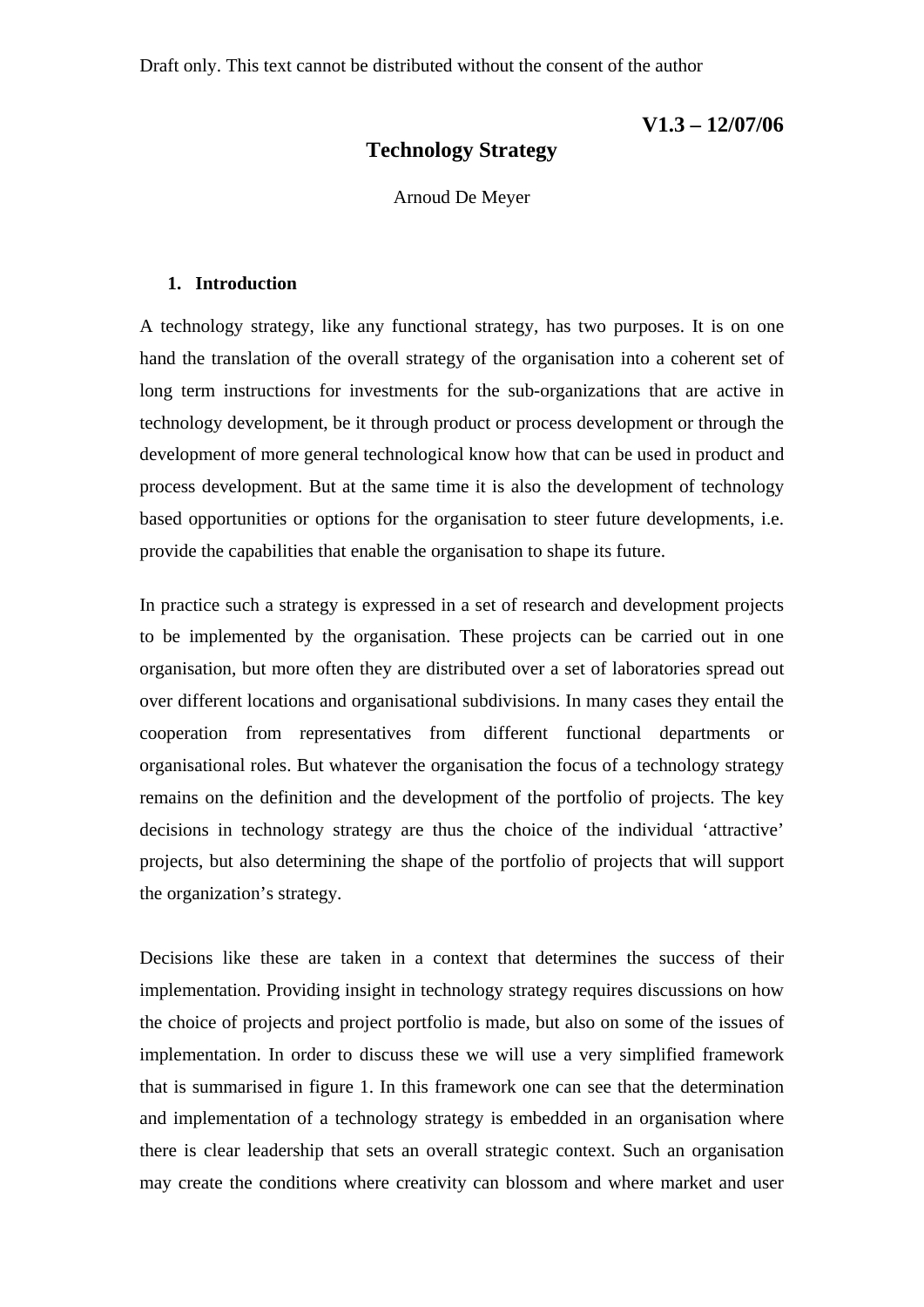#### **V1.3 – 12/07/06**

### **Technology Strategy**

Arnoud De Meyer

#### **1. Introduction**

A technology strategy, like any functional strategy, has two purposes. It is on one hand the translation of the overall strategy of the organisation into a coherent set of long term instructions for investments for the sub-organizations that are active in technology development, be it through product or process development or through the development of more general technological know how that can be used in product and process development. But at the same time it is also the development of technology based opportunities or options for the organisation to steer future developments, i.e. provide the capabilities that enable the organisation to shape its future.

In practice such a strategy is expressed in a set of research and development projects to be implemented by the organisation. These projects can be carried out in one organisation, but more often they are distributed over a set of laboratories spread out over different locations and organisational subdivisions. In many cases they entail the cooperation from representatives from different functional departments or organisational roles. But whatever the organisation the focus of a technology strategy remains on the definition and the development of the portfolio of projects. The key decisions in technology strategy are thus the choice of the individual 'attractive' projects, but also determining the shape of the portfolio of projects that will support the organization's strategy.

Decisions like these are taken in a context that determines the success of their implementation. Providing insight in technology strategy requires discussions on how the choice of projects and project portfolio is made, but also on some of the issues of implementation. In order to discuss these we will use a very simplified framework that is summarised in figure 1. In this framework one can see that the determination and implementation of a technology strategy is embedded in an organisation where there is clear leadership that sets an overall strategic context. Such an organisation may create the conditions where creativity can blossom and where market and user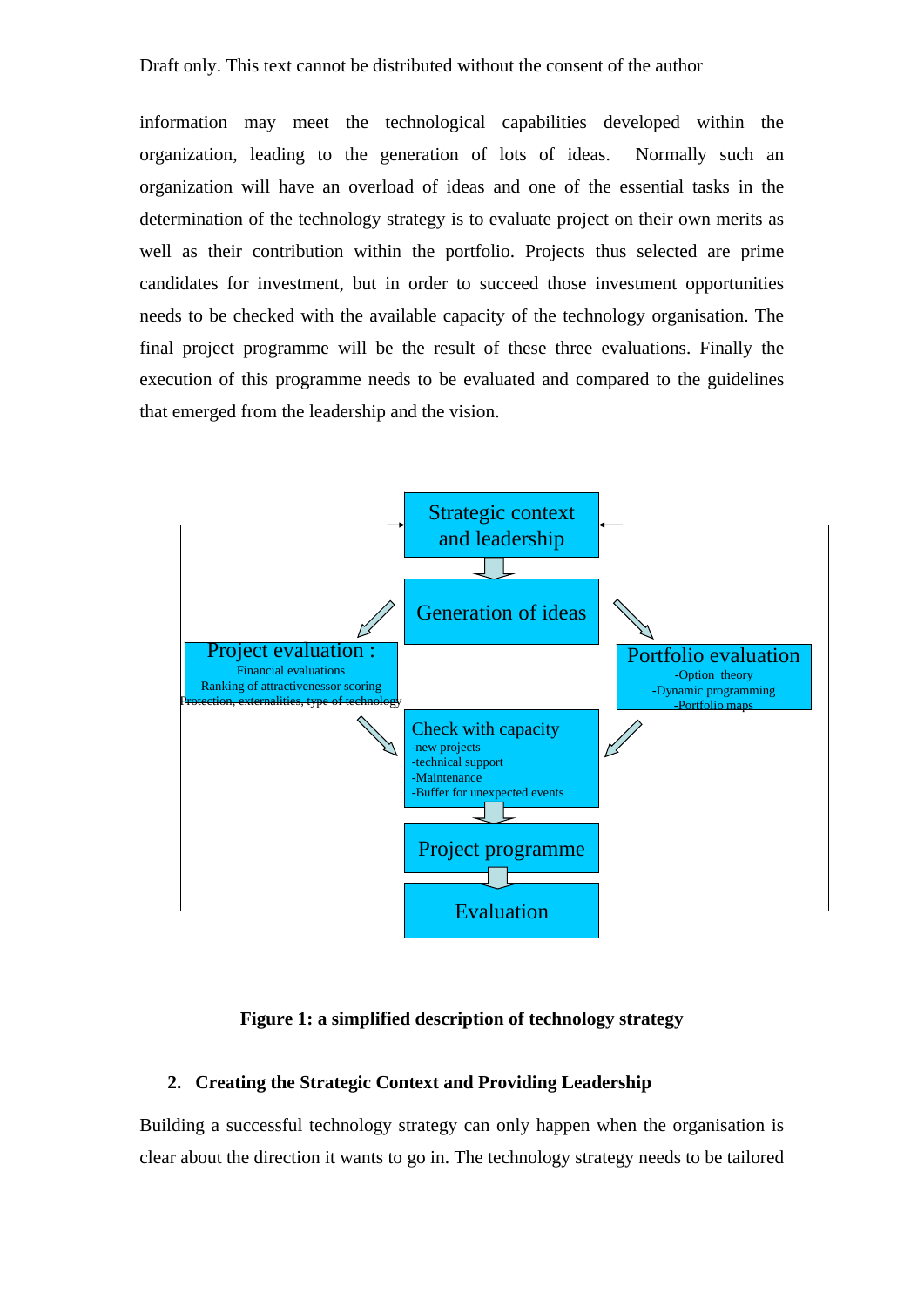information may meet the technological capabilities developed within the organization, leading to the generation of lots of ideas. Normally such an organization will have an overload of ideas and one of the essential tasks in the determination of the technology strategy is to evaluate project on their own merits as well as their contribution within the portfolio. Projects thus selected are prime candidates for investment, but in order to succeed those investment opportunities needs to be checked with the available capacity of the technology organisation. The final project programme will be the result of these three evaluations. Finally the execution of this programme needs to be evaluated and compared to the guidelines that emerged from the leadership and the vision.



#### **Figure 1: a simplified description of technology strategy**

#### **2. Creating the Strategic Context and Providing Leadership**

Building a successful technology strategy can only happen when the organisation is clear about the direction it wants to go in. The technology strategy needs to be tailored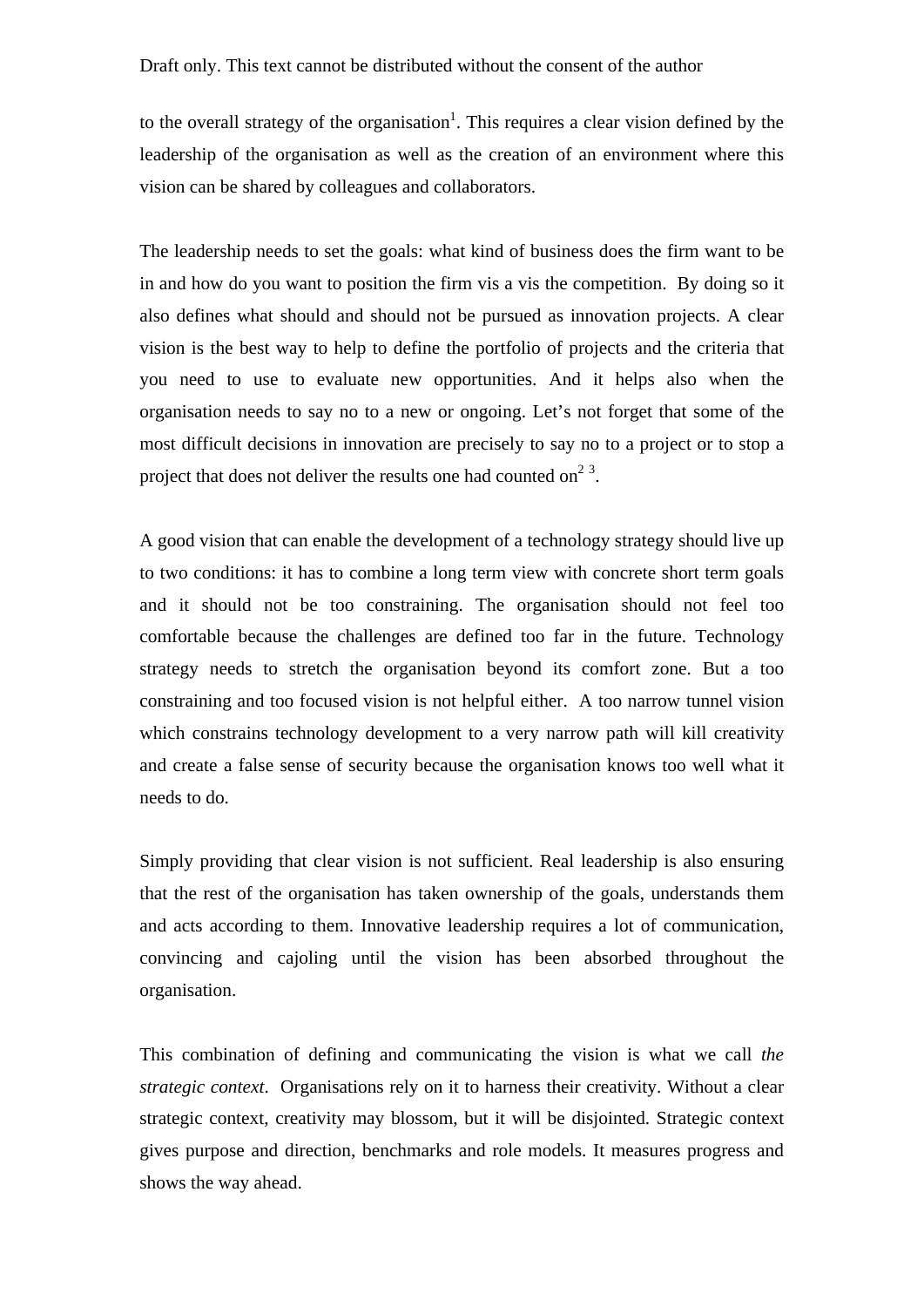to the overall strategy of the organisation<sup>1</sup>. This requires a clear vision defined by the leadership of the organisation as well as the creation of an environment where this vision can be shared by colleagues and collaborators.

The leadership needs to set the goals: what kind of business does the firm want to be in and how do you want to position the firm vis a vis the competition. By doing so it also defines what should and should not be pursued as innovation projects. A clear vision is the best way to help to define the portfolio of projects and the criteria that you need to use to evaluate new opportunities. And it helps also when the organisation needs to say no to a new or ongoing. Let's not forget that some of the most difficult decisions in innovation are precisely to say no to a project or to stop a project that does not deliver the results one had counted on<sup>23</sup>.

A good vision that can enable the development of a technology strategy should live up to two conditions: it has to combine a long term view with concrete short term goals and it should not be too constraining. The organisation should not feel too comfortable because the challenges are defined too far in the future. Technology strategy needs to stretch the organisation beyond its comfort zone. But a too constraining and too focused vision is not helpful either. A too narrow tunnel vision which constrains technology development to a very narrow path will kill creativity and create a false sense of security because the organisation knows too well what it needs to do.

Simply providing that clear vision is not sufficient. Real leadership is also ensuring that the rest of the organisation has taken ownership of the goals, understands them and acts according to them. Innovative leadership requires a lot of communication, convincing and cajoling until the vision has been absorbed throughout the organisation.

This combination of defining and communicating the vision is what we call *the strategic context*. Organisations rely on it to harness their creativity. Without a clear strategic context, creativity may blossom, but it will be disjointed. Strategic context gives purpose and direction, benchmarks and role models. It measures progress and shows the way ahead.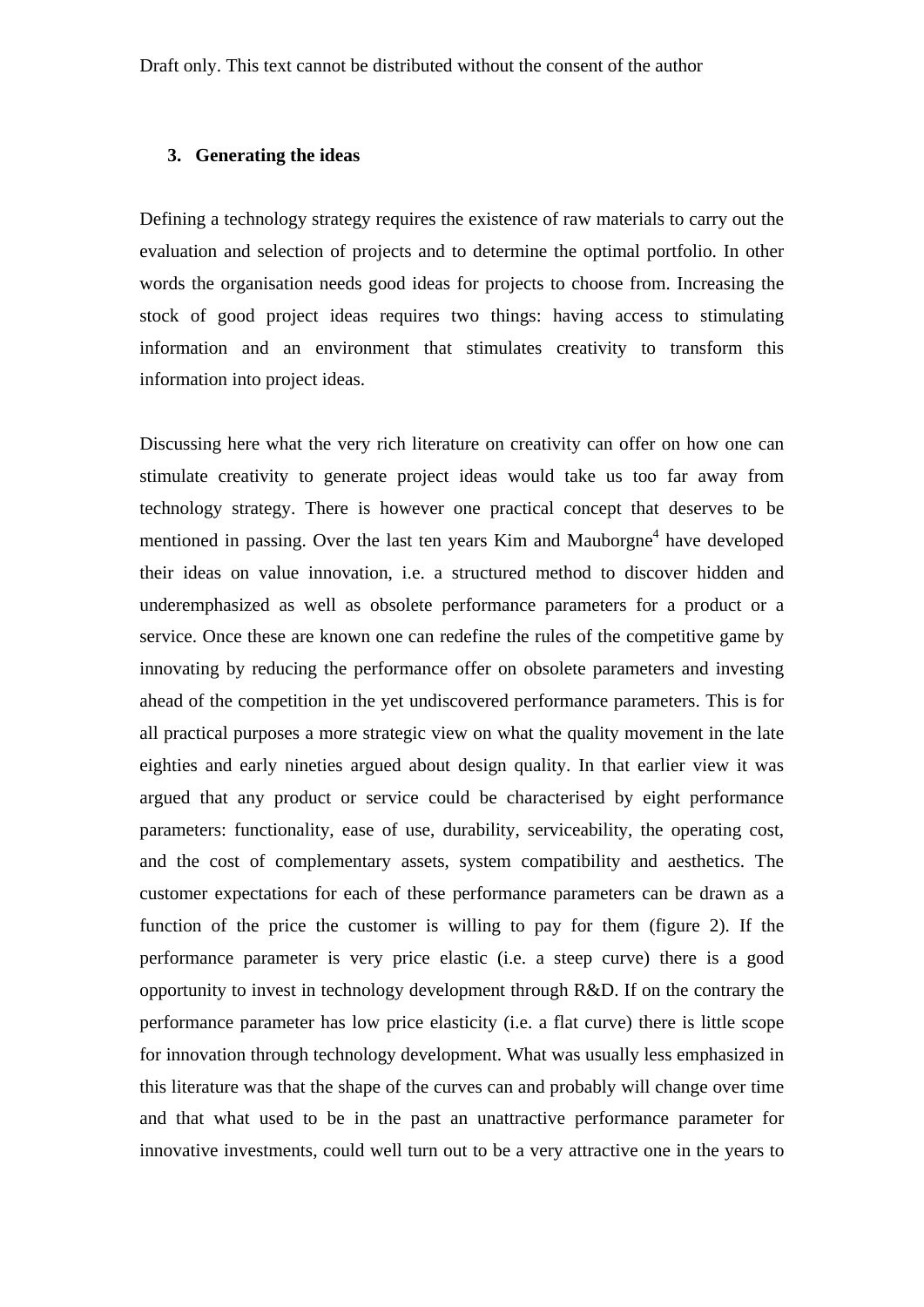#### **3. Generating the ideas**

Defining a technology strategy requires the existence of raw materials to carry out the evaluation and selection of projects and to determine the optimal portfolio. In other words the organisation needs good ideas for projects to choose from. Increasing the stock of good project ideas requires two things: having access to stimulating information and an environment that stimulates creativity to transform this information into project ideas.

Discussing here what the very rich literature on creativity can offer on how one can stimulate creativity to generate project ideas would take us too far away from technology strategy. There is however one practical concept that deserves to be mentioned in passing. Over the last ten years Kim and Mauborgne<sup>4</sup> have developed their ideas on value innovation, i.e. a structured method to discover hidden and underemphasized as well as obsolete performance parameters for a product or a service. Once these are known one can redefine the rules of the competitive game by innovating by reducing the performance offer on obsolete parameters and investing ahead of the competition in the yet undiscovered performance parameters. This is for all practical purposes a more strategic view on what the quality movement in the late eighties and early nineties argued about design quality. In that earlier view it was argued that any product or service could be characterised by eight performance parameters: functionality, ease of use, durability, serviceability, the operating cost, and the cost of complementary assets, system compatibility and aesthetics. The customer expectations for each of these performance parameters can be drawn as a function of the price the customer is willing to pay for them (figure 2). If the performance parameter is very price elastic (i.e. a steep curve) there is a good opportunity to invest in technology development through R&D. If on the contrary the performance parameter has low price elasticity (i.e. a flat curve) there is little scope for innovation through technology development. What was usually less emphasized in this literature was that the shape of the curves can and probably will change over time and that what used to be in the past an unattractive performance parameter for innovative investments, could well turn out to be a very attractive one in the years to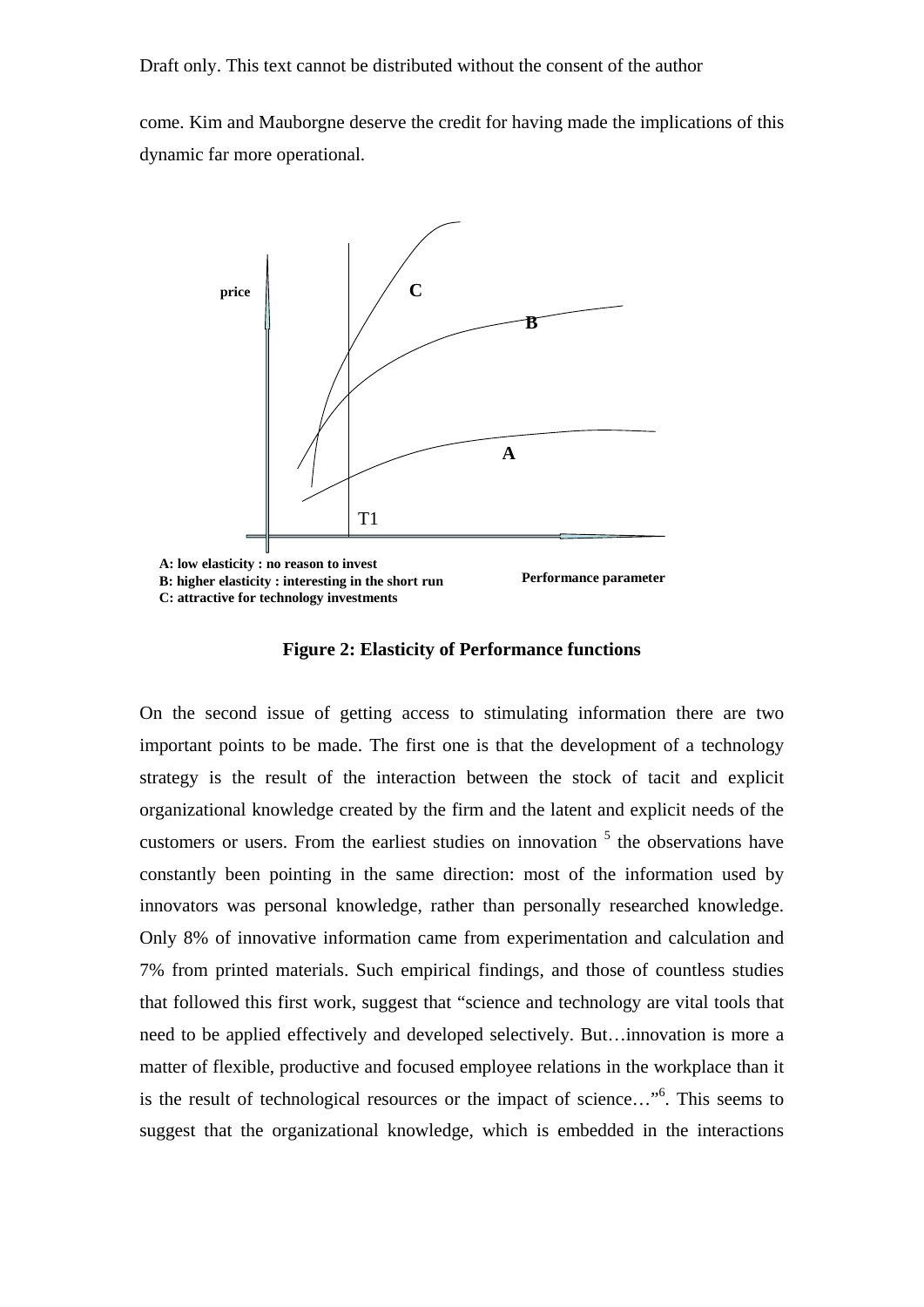come. Kim and Mauborgne deserve the credit for having made the implications of this dynamic far more operational.



**Figure 2: Elasticity of Performance functions**

On the second issue of getting access to stimulating information there are two important points to be made. The first one is that the development of a technology strategy is the result of the interaction between the stock of tacit and explicit organizational knowledge created by the firm and the latent and explicit needs of the customers or users. From the earliest studies on innovation  $<sup>5</sup>$  the observations have</sup> constantly been pointing in the same direction: most of the information used by innovators was personal knowledge, rather than personally researched knowledge. Only 8% of innovative information came from experimentation and calculation and 7% from printed materials. Such empirical findings, and those of countless studies that followed this first work, suggest that "science and technology are vital tools that need to be applied effectively and developed selectively. But…innovation is more a matter of flexible, productive and focused employee relations in the workplace than it is the result of technological resources or the impact of science…"6 . This seems to suggest that the organizational knowledge, which is embedded in the interactions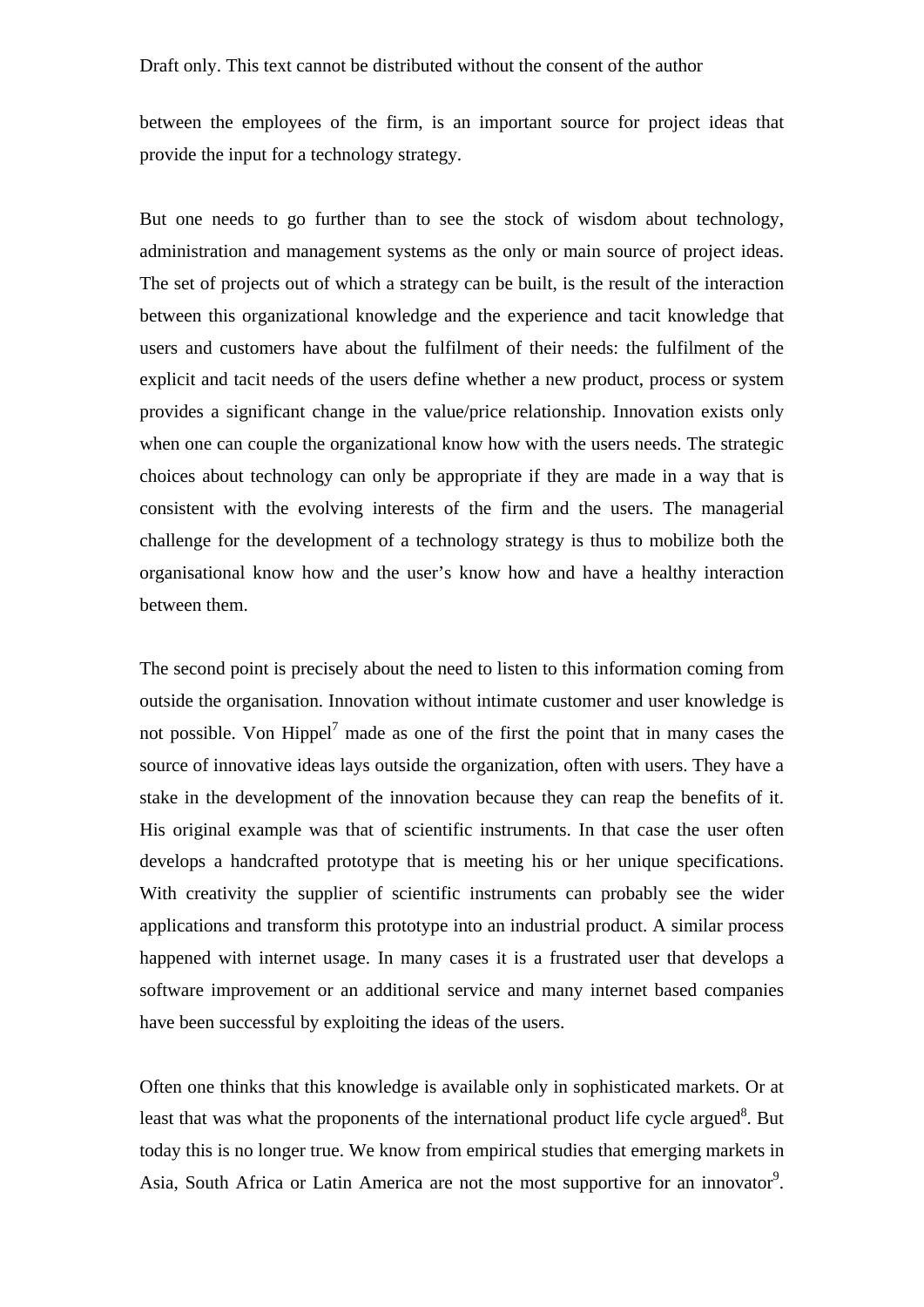between the employees of the firm, is an important source for project ideas that provide the input for a technology strategy.

But one needs to go further than to see the stock of wisdom about technology, administration and management systems as the only or main source of project ideas. The set of projects out of which a strategy can be built, is the result of the interaction between this organizational knowledge and the experience and tacit knowledge that users and customers have about the fulfilment of their needs: the fulfilment of the explicit and tacit needs of the users define whether a new product, process or system provides a significant change in the value/price relationship. Innovation exists only when one can couple the organizational know how with the users needs. The strategic choices about technology can only be appropriate if they are made in a way that is consistent with the evolving interests of the firm and the users. The managerial challenge for the development of a technology strategy is thus to mobilize both the organisational know how and the user's know how and have a healthy interaction between them.

The second point is precisely about the need to listen to this information coming from outside the organisation. Innovation without intimate customer and user knowledge is not possible. Von Hippel<sup>7</sup> made as one of the first the point that in many cases the source of innovative ideas lays outside the organization, often with users. They have a stake in the development of the innovation because they can reap the benefits of it. His original example was that of scientific instruments. In that case the user often develops a handcrafted prototype that is meeting his or her unique specifications. With creativity the supplier of scientific instruments can probably see the wider applications and transform this prototype into an industrial product. A similar process happened with internet usage. In many cases it is a frustrated user that develops a software improvement or an additional service and many internet based companies have been successful by exploiting the ideas of the users.

Often one thinks that this knowledge is available only in sophisticated markets. Or at least that was what the proponents of the international product life cycle argued $8$ . But today this is no longer true. We know from empirical studies that emerging markets in Asia, South Africa or Latin America are not the most supportive for an innovator<sup>9</sup>.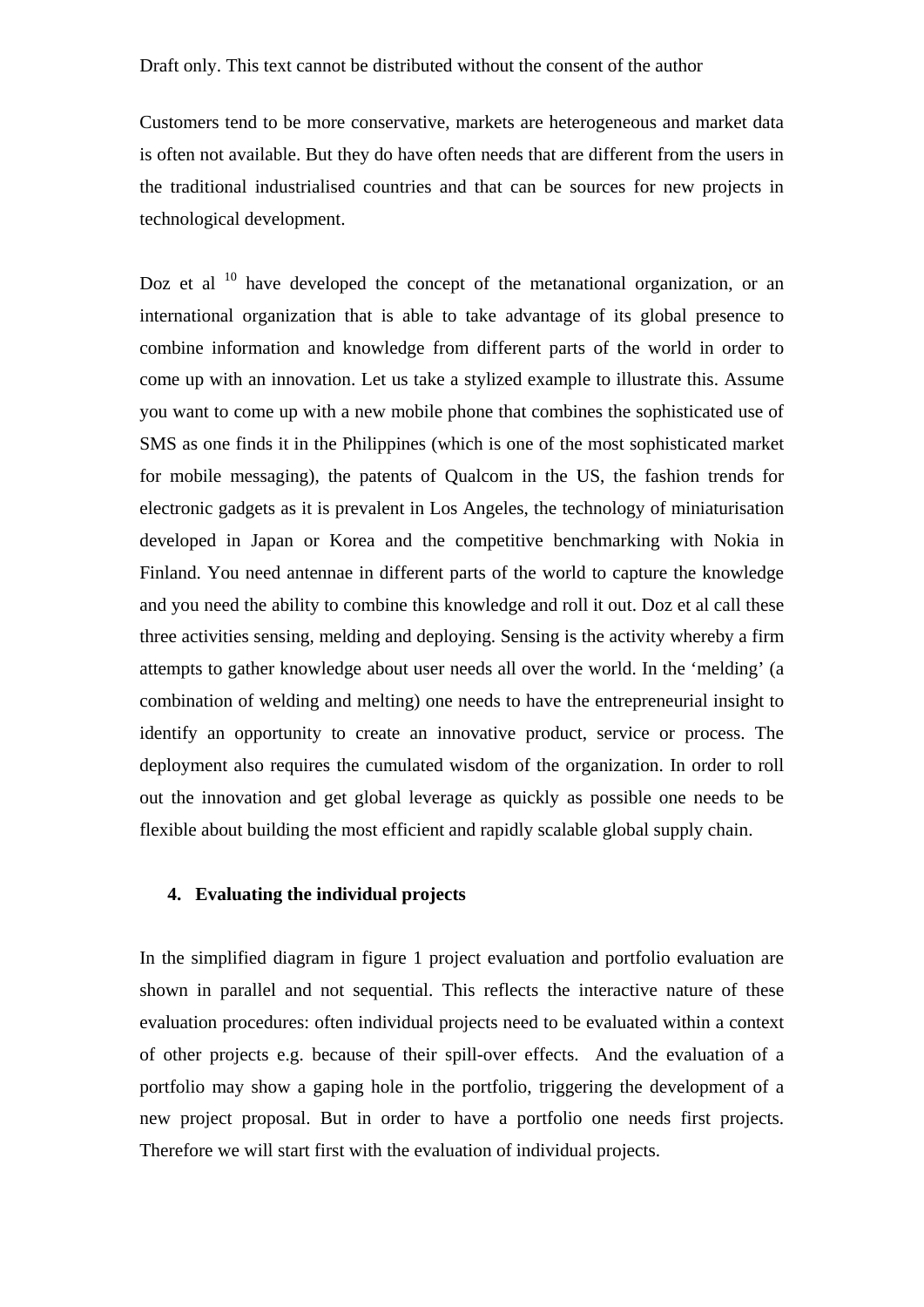Customers tend to be more conservative, markets are heterogeneous and market data is often not available. But they do have often needs that are different from the users in the traditional industrialised countries and that can be sources for new projects in technological development.

Doz et al  $10$  have developed the concept of the metanational organization, or an international organization that is able to take advantage of its global presence to combine information and knowledge from different parts of the world in order to come up with an innovation. Let us take a stylized example to illustrate this. Assume you want to come up with a new mobile phone that combines the sophisticated use of SMS as one finds it in the Philippines (which is one of the most sophisticated market for mobile messaging), the patents of Qualcom in the US, the fashion trends for electronic gadgets as it is prevalent in Los Angeles, the technology of miniaturisation developed in Japan or Korea and the competitive benchmarking with Nokia in Finland. You need antennae in different parts of the world to capture the knowledge and you need the ability to combine this knowledge and roll it out. Doz et al call these three activities sensing, melding and deploying. Sensing is the activity whereby a firm attempts to gather knowledge about user needs all over the world. In the 'melding' (a combination of welding and melting) one needs to have the entrepreneurial insight to identify an opportunity to create an innovative product, service or process. The deployment also requires the cumulated wisdom of the organization. In order to roll out the innovation and get global leverage as quickly as possible one needs to be flexible about building the most efficient and rapidly scalable global supply chain.

#### **4. Evaluating the individual projects**

In the simplified diagram in figure 1 project evaluation and portfolio evaluation are shown in parallel and not sequential. This reflects the interactive nature of these evaluation procedures: often individual projects need to be evaluated within a context of other projects e.g. because of their spill-over effects. And the evaluation of a portfolio may show a gaping hole in the portfolio, triggering the development of a new project proposal. But in order to have a portfolio one needs first projects. Therefore we will start first with the evaluation of individual projects.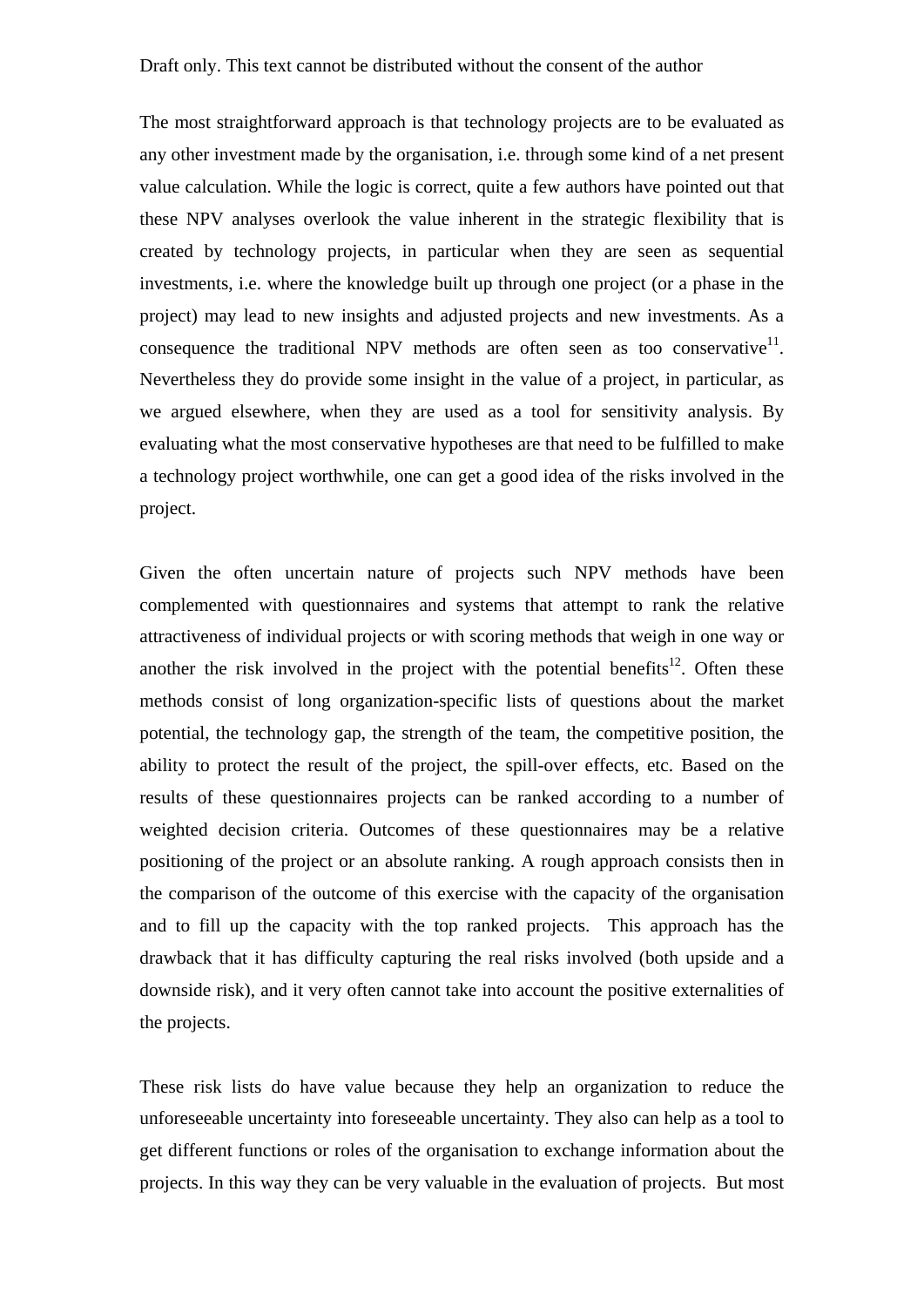The most straightforward approach is that technology projects are to be evaluated as any other investment made by the organisation, i.e. through some kind of a net present value calculation. While the logic is correct, quite a few authors have pointed out that these NPV analyses overlook the value inherent in the strategic flexibility that is created by technology projects, in particular when they are seen as sequential investments, i.e. where the knowledge built up through one project (or a phase in the project) may lead to new insights and adjusted projects and new investments. As a consequence the traditional NPV methods are often seen as too conservative $11$ . Nevertheless they do provide some insight in the value of a project, in particular, as we argued elsewhere, when they are used as a tool for sensitivity analysis. By evaluating what the most conservative hypotheses are that need to be fulfilled to make a technology project worthwhile, one can get a good idea of the risks involved in the project.

Given the often uncertain nature of projects such NPV methods have been complemented with questionnaires and systems that attempt to rank the relative attractiveness of individual projects or with scoring methods that weigh in one way or another the risk involved in the project with the potential benefits<sup>12</sup>. Often these methods consist of long organization-specific lists of questions about the market potential, the technology gap, the strength of the team, the competitive position, the ability to protect the result of the project, the spill-over effects, etc. Based on the results of these questionnaires projects can be ranked according to a number of weighted decision criteria. Outcomes of these questionnaires may be a relative positioning of the project or an absolute ranking. A rough approach consists then in the comparison of the outcome of this exercise with the capacity of the organisation and to fill up the capacity with the top ranked projects. This approach has the drawback that it has difficulty capturing the real risks involved (both upside and a downside risk), and it very often cannot take into account the positive externalities of the projects.

These risk lists do have value because they help an organization to reduce the unforeseeable uncertainty into foreseeable uncertainty. They also can help as a tool to get different functions or roles of the organisation to exchange information about the projects. In this way they can be very valuable in the evaluation of projects. But most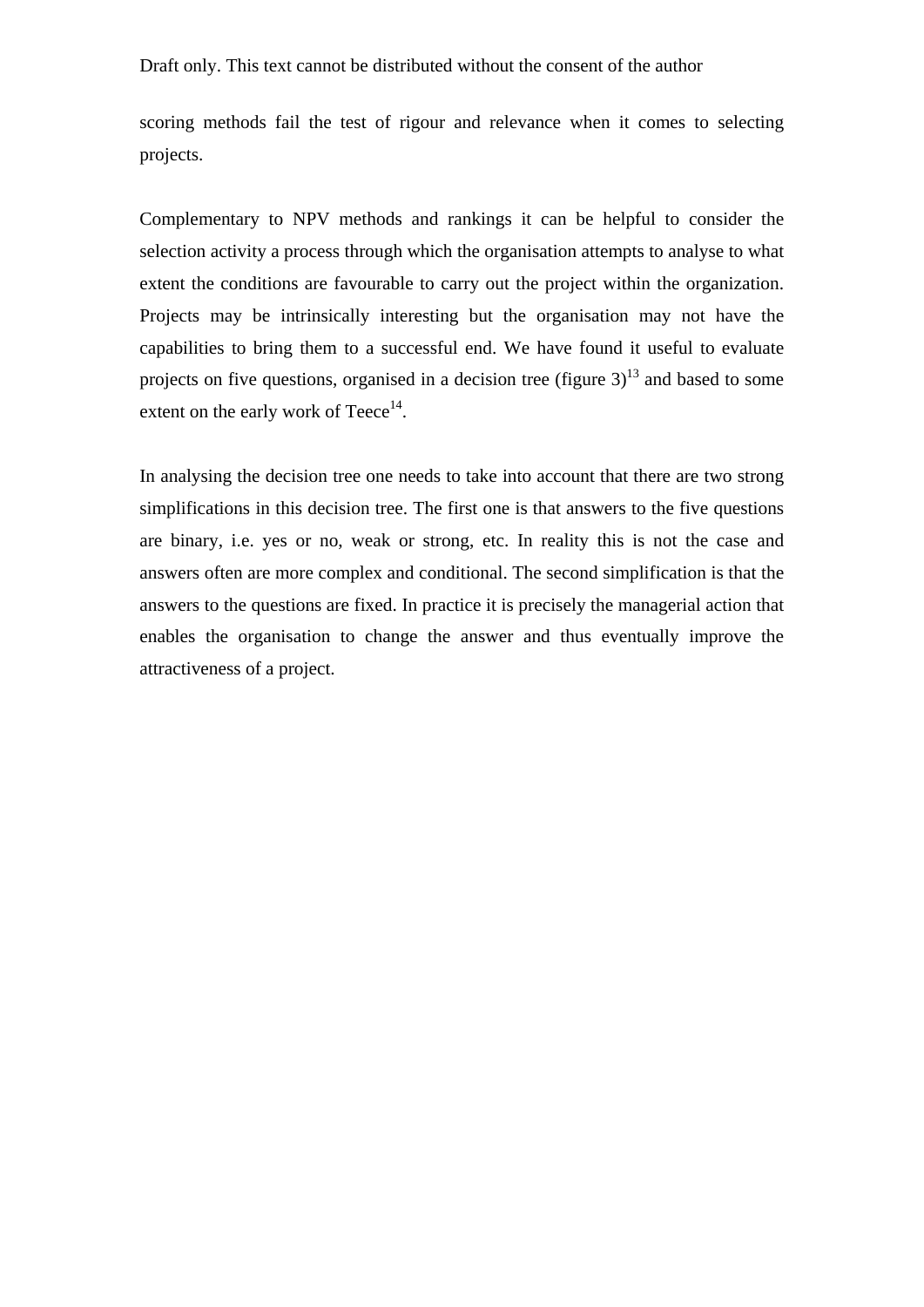scoring methods fail the test of rigour and relevance when it comes to selecting projects.

Complementary to NPV methods and rankings it can be helpful to consider the selection activity a process through which the organisation attempts to analyse to what extent the conditions are favourable to carry out the project within the organization. Projects may be intrinsically interesting but the organisation may not have the capabilities to bring them to a successful end. We have found it useful to evaluate projects on five questions, organised in a decision tree (figure  $3$ )<sup>13</sup> and based to some extent on the early work of Teece<sup>14</sup>.

In analysing the decision tree one needs to take into account that there are two strong simplifications in this decision tree. The first one is that answers to the five questions are binary, i.e. yes or no, weak or strong, etc. In reality this is not the case and answers often are more complex and conditional. The second simplification is that the answers to the questions are fixed. In practice it is precisely the managerial action that enables the organisation to change the answer and thus eventually improve the attractiveness of a project.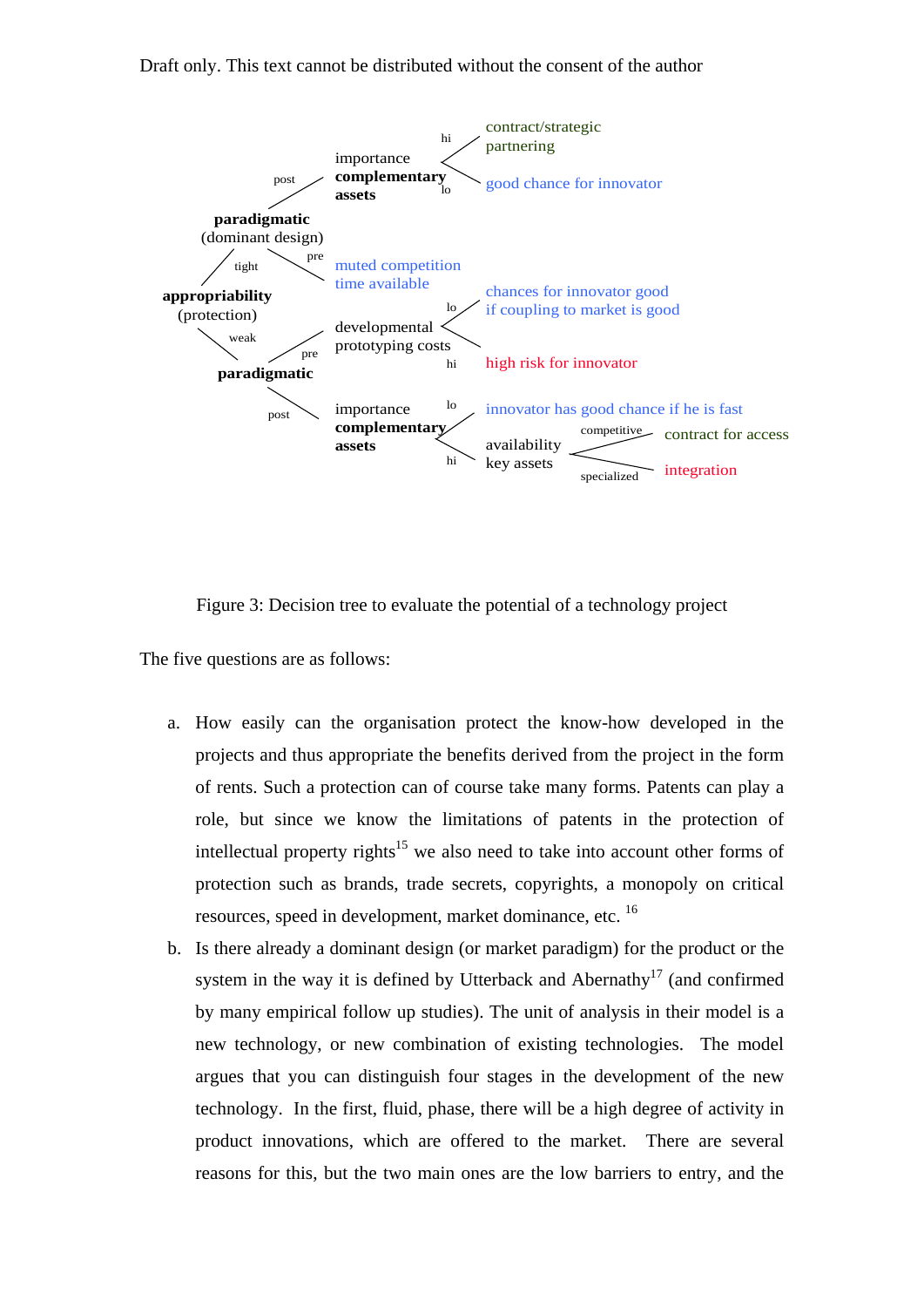

Figure 3: Decision tree to evaluate the potential of a technology project

The five questions are as follows:

- a. How easily can the organisation protect the know-how developed in the projects and thus appropriate the benefits derived from the project in the form of rents. Such a protection can of course take many forms. Patents can play a role, but since we know the limitations of patents in the protection of intellectual property rights<sup>15</sup> we also need to take into account other forms of protection such as brands, trade secrets, copyrights, a monopoly on critical resources, speed in development, market dominance, etc. 16
- b. Is there already a dominant design (or market paradigm) for the product or the system in the way it is defined by Utterback and Abernathy<sup>17</sup> (and confirmed by many empirical follow up studies). The unit of analysis in their model is a new technology, or new combination of existing technologies. The model argues that you can distinguish four stages in the development of the new technology. In the first, fluid, phase, there will be a high degree of activity in product innovations, which are offered to the market. There are several reasons for this, but the two main ones are the low barriers to entry, and the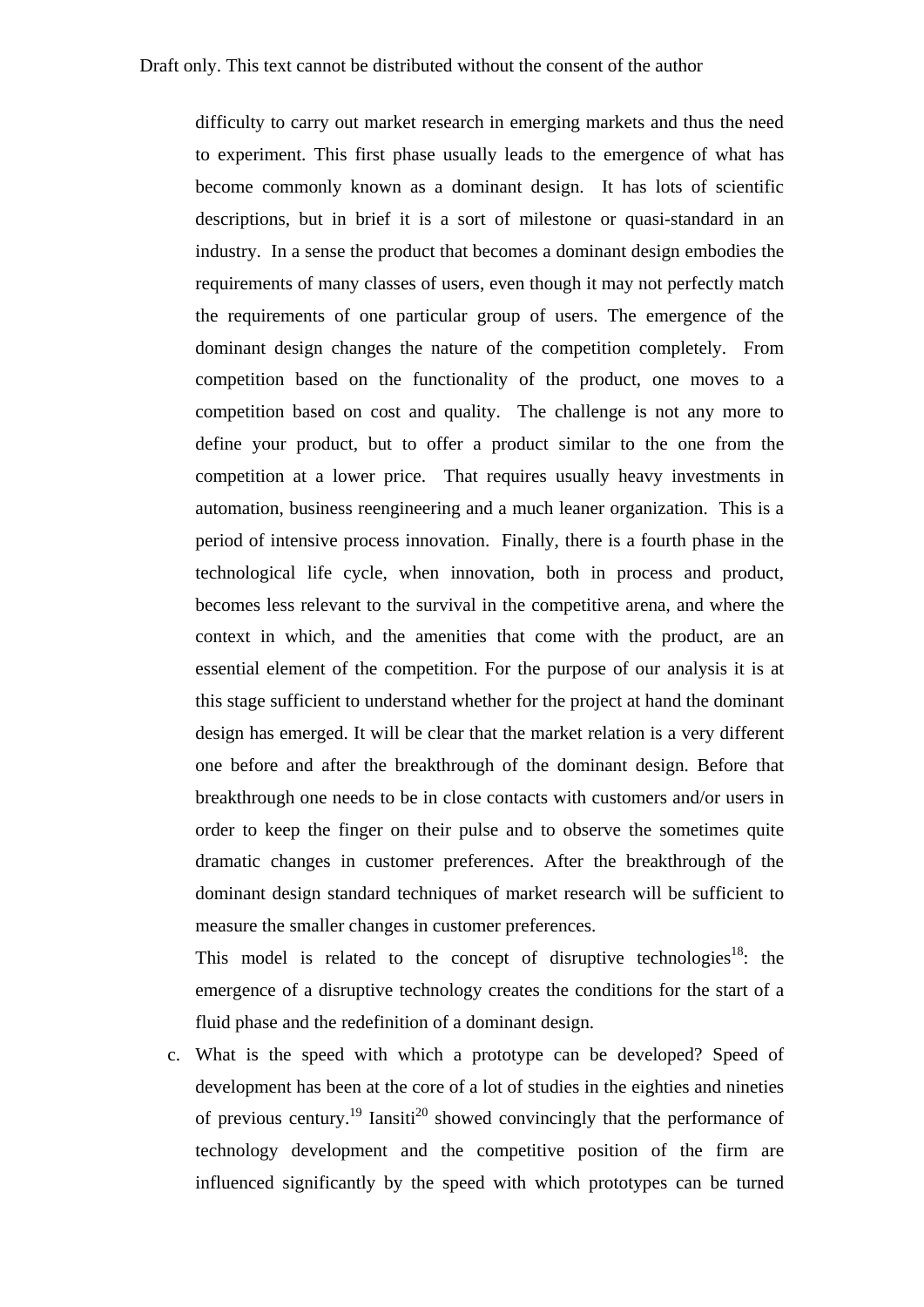difficulty to carry out market research in emerging markets and thus the need to experiment. This first phase usually leads to the emergence of what has become commonly known as a dominant design. It has lots of scientific descriptions, but in brief it is a sort of milestone or quasi-standard in an industry. In a sense the product that becomes a dominant design embodies the requirements of many classes of users, even though it may not perfectly match the requirements of one particular group of users. The emergence of the dominant design changes the nature of the competition completely. From competition based on the functionality of the product, one moves to a competition based on cost and quality. The challenge is not any more to define your product, but to offer a product similar to the one from the competition at a lower price. That requires usually heavy investments in automation, business reengineering and a much leaner organization. This is a period of intensive process innovation. Finally, there is a fourth phase in the technological life cycle, when innovation, both in process and product, becomes less relevant to the survival in the competitive arena, and where the context in which, and the amenities that come with the product, are an essential element of the competition. For the purpose of our analysis it is at this stage sufficient to understand whether for the project at hand the dominant design has emerged. It will be clear that the market relation is a very different one before and after the breakthrough of the dominant design. Before that breakthrough one needs to be in close contacts with customers and/or users in order to keep the finger on their pulse and to observe the sometimes quite dramatic changes in customer preferences. After the breakthrough of the dominant design standard techniques of market research will be sufficient to measure the smaller changes in customer preferences.

This model is related to the concept of disruptive technologies<sup>18</sup>: the emergence of a disruptive technology creates the conditions for the start of a fluid phase and the redefinition of a dominant design.

c. What is the speed with which a prototype can be developed? Speed of development has been at the core of a lot of studies in the eighties and nineties of previous century.<sup>19</sup> Iansiti<sup>20</sup> showed convincingly that the performance of technology development and the competitive position of the firm are influenced significantly by the speed with which prototypes can be turned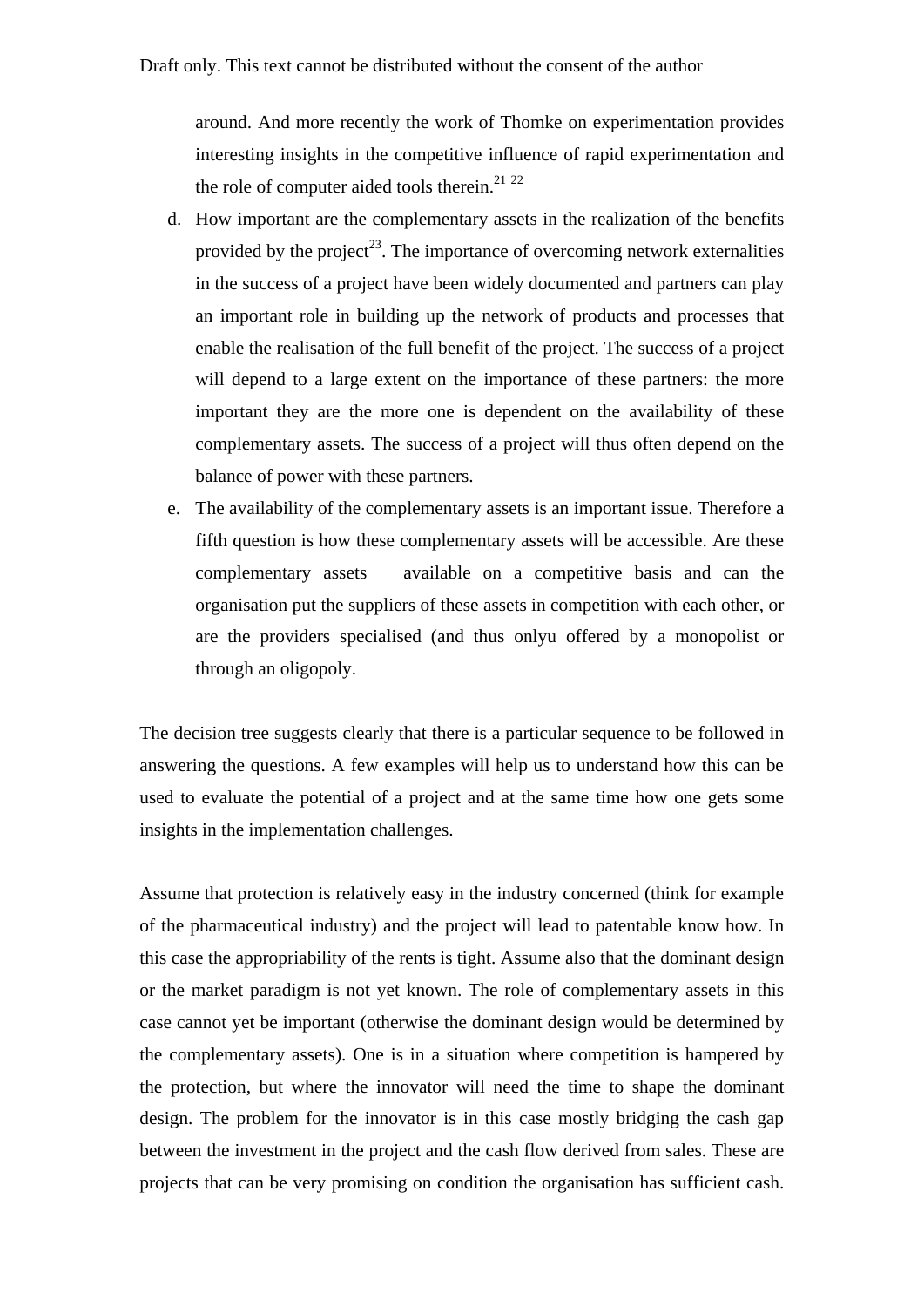around. And more recently the work of Thomke on experimentation provides interesting insights in the competitive influence of rapid experimentation and the role of computer aided tools therein. $21 22$ 

- d. How important are the complementary assets in the realization of the benefits provided by the project<sup>23</sup>. The importance of overcoming network externalities in the success of a project have been widely documented and partners can play an important role in building up the network of products and processes that enable the realisation of the full benefit of the project. The success of a project will depend to a large extent on the importance of these partners: the more important they are the more one is dependent on the availability of these complementary assets. The success of a project will thus often depend on the balance of power with these partners.
- e. The availability of the complementary assets is an important issue. Therefore a fifth question is how these complementary assets will be accessible. Are these complementary assets available on a competitive basis and can the organisation put the suppliers of these assets in competition with each other, or are the providers specialised (and thus onlyu offered by a monopolist or through an oligopoly.

The decision tree suggests clearly that there is a particular sequence to be followed in answering the questions. A few examples will help us to understand how this can be used to evaluate the potential of a project and at the same time how one gets some insights in the implementation challenges.

Assume that protection is relatively easy in the industry concerned (think for example of the pharmaceutical industry) and the project will lead to patentable know how. In this case the appropriability of the rents is tight. Assume also that the dominant design or the market paradigm is not yet known. The role of complementary assets in this case cannot yet be important (otherwise the dominant design would be determined by the complementary assets). One is in a situation where competition is hampered by the protection, but where the innovator will need the time to shape the dominant design. The problem for the innovator is in this case mostly bridging the cash gap between the investment in the project and the cash flow derived from sales. These are projects that can be very promising on condition the organisation has sufficient cash.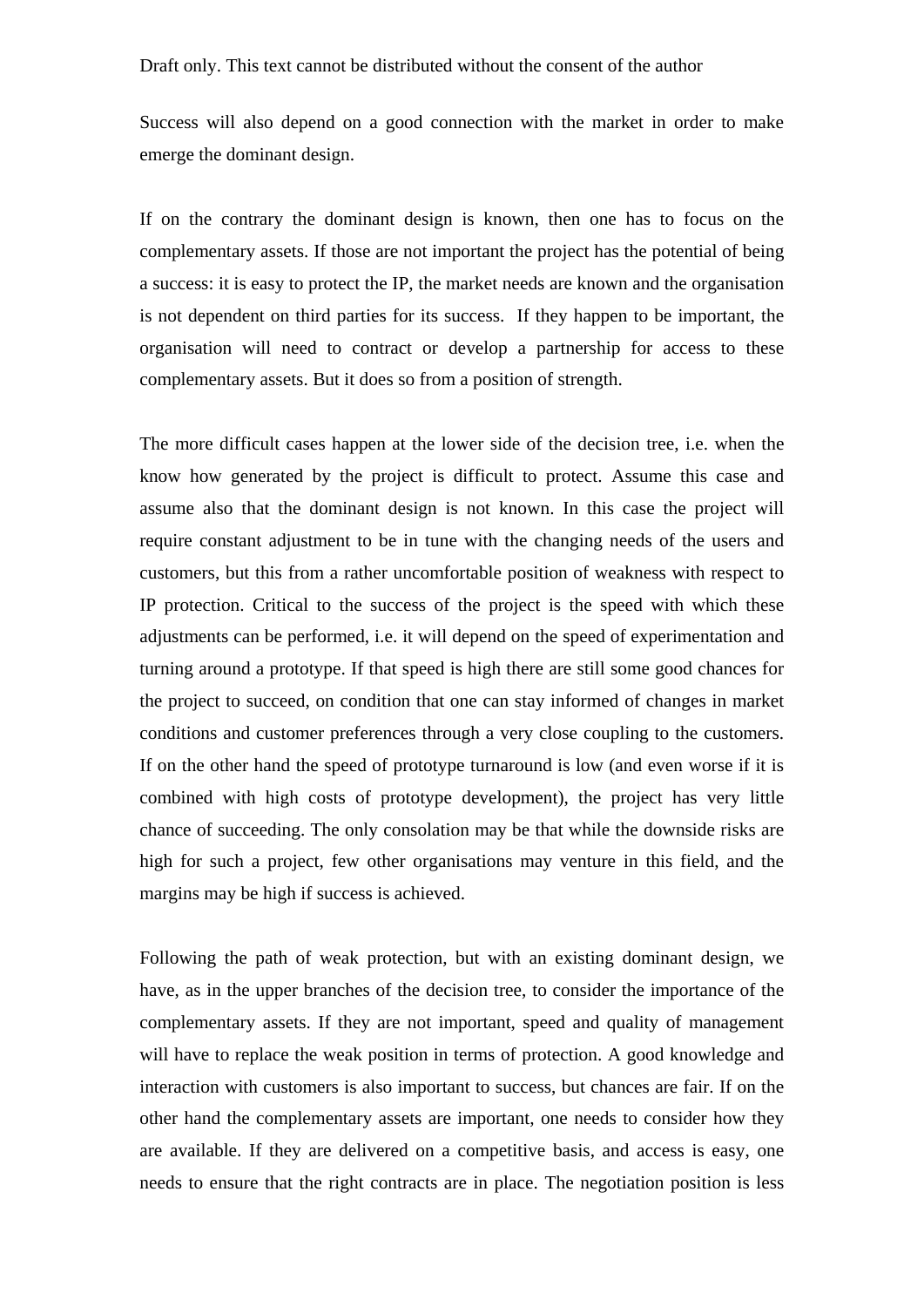Success will also depend on a good connection with the market in order to make emerge the dominant design.

If on the contrary the dominant design is known, then one has to focus on the complementary assets. If those are not important the project has the potential of being a success: it is easy to protect the IP, the market needs are known and the organisation is not dependent on third parties for its success. If they happen to be important, the organisation will need to contract or develop a partnership for access to these complementary assets. But it does so from a position of strength.

The more difficult cases happen at the lower side of the decision tree, i.e. when the know how generated by the project is difficult to protect. Assume this case and assume also that the dominant design is not known. In this case the project will require constant adjustment to be in tune with the changing needs of the users and customers, but this from a rather uncomfortable position of weakness with respect to IP protection. Critical to the success of the project is the speed with which these adjustments can be performed, i.e. it will depend on the speed of experimentation and turning around a prototype. If that speed is high there are still some good chances for the project to succeed, on condition that one can stay informed of changes in market conditions and customer preferences through a very close coupling to the customers. If on the other hand the speed of prototype turnaround is low (and even worse if it is combined with high costs of prototype development), the project has very little chance of succeeding. The only consolation may be that while the downside risks are high for such a project, few other organisations may venture in this field, and the margins may be high if success is achieved.

Following the path of weak protection, but with an existing dominant design, we have, as in the upper branches of the decision tree, to consider the importance of the complementary assets. If they are not important, speed and quality of management will have to replace the weak position in terms of protection. A good knowledge and interaction with customers is also important to success, but chances are fair. If on the other hand the complementary assets are important, one needs to consider how they are available. If they are delivered on a competitive basis, and access is easy, one needs to ensure that the right contracts are in place. The negotiation position is less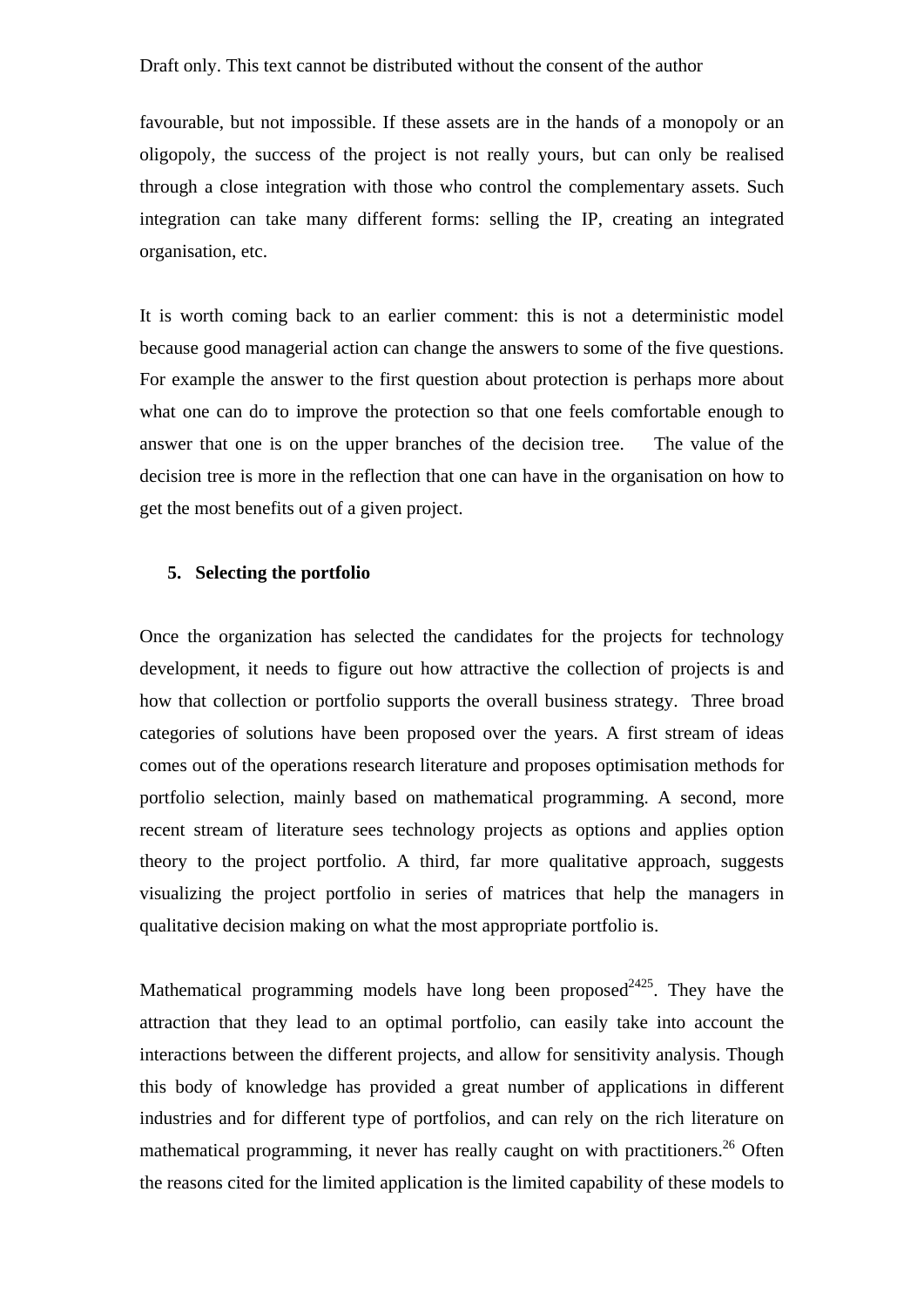favourable, but not impossible. If these assets are in the hands of a monopoly or an oligopoly, the success of the project is not really yours, but can only be realised through a close integration with those who control the complementary assets. Such integration can take many different forms: selling the IP, creating an integrated organisation, etc.

It is worth coming back to an earlier comment: this is not a deterministic model because good managerial action can change the answers to some of the five questions. For example the answer to the first question about protection is perhaps more about what one can do to improve the protection so that one feels comfortable enough to answer that one is on the upper branches of the decision tree. The value of the decision tree is more in the reflection that one can have in the organisation on how to get the most benefits out of a given project.

#### **5. Selecting the portfolio**

Once the organization has selected the candidates for the projects for technology development, it needs to figure out how attractive the collection of projects is and how that collection or portfolio supports the overall business strategy. Three broad categories of solutions have been proposed over the years. A first stream of ideas comes out of the operations research literature and proposes optimisation methods for portfolio selection, mainly based on mathematical programming. A second, more recent stream of literature sees technology projects as options and applies option theory to the project portfolio. A third, far more qualitative approach, suggests visualizing the project portfolio in series of matrices that help the managers in qualitative decision making on what the most appropriate portfolio is.

Mathematical programming models have long been proposed $2425$ . They have the attraction that they lead to an optimal portfolio, can easily take into account the interactions between the different projects, and allow for sensitivity analysis. Though this body of knowledge has provided a great number of applications in different industries and for different type of portfolios, and can rely on the rich literature on mathematical programming, it never has really caught on with practitioners.<sup>26</sup> Often the reasons cited for the limited application is the limited capability of these models to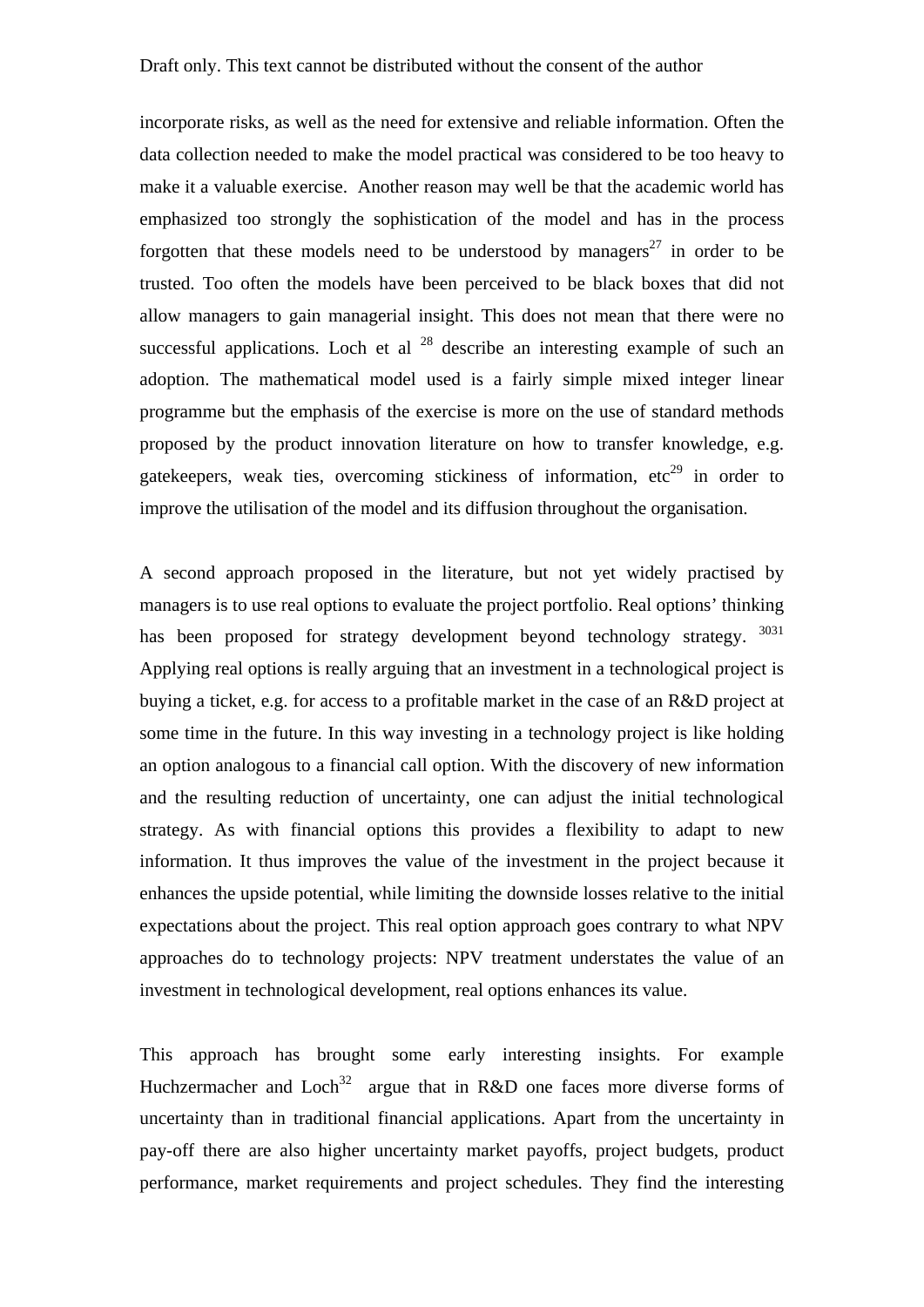incorporate risks, as well as the need for extensive and reliable information. Often the data collection needed to make the model practical was considered to be too heavy to make it a valuable exercise. Another reason may well be that the academic world has emphasized too strongly the sophistication of the model and has in the process forgotten that these models need to be understood by managers<sup>27</sup> in order to be trusted. Too often the models have been perceived to be black boxes that did not allow managers to gain managerial insight. This does not mean that there were no successful applications. Loch et al  $^{28}$  describe an interesting example of such an adoption. The mathematical model used is a fairly simple mixed integer linear programme but the emphasis of the exercise is more on the use of standard methods proposed by the product innovation literature on how to transfer knowledge, e.g. gatekeepers, weak ties, overcoming stickiness of information,  $etc^{29}$  in order to improve the utilisation of the model and its diffusion throughout the organisation.

A second approach proposed in the literature, but not yet widely practised by managers is to use real options to evaluate the project portfolio. Real options' thinking has been proposed for strategy development beyond technology strategy.  $3031$ Applying real options is really arguing that an investment in a technological project is buying a ticket, e.g. for access to a profitable market in the case of an R&D project at some time in the future. In this way investing in a technology project is like holding an option analogous to a financial call option. With the discovery of new information and the resulting reduction of uncertainty, one can adjust the initial technological strategy. As with financial options this provides a flexibility to adapt to new information. It thus improves the value of the investment in the project because it enhances the upside potential, while limiting the downside losses relative to the initial expectations about the project. This real option approach goes contrary to what NPV approaches do to technology projects: NPV treatment understates the value of an investment in technological development, real options enhances its value.

This approach has brought some early interesting insights. For example Huchzermacher and Loch<sup>32</sup> argue that in R&D one faces more diverse forms of uncertainty than in traditional financial applications. Apart from the uncertainty in pay-off there are also higher uncertainty market payoffs, project budgets, product performance, market requirements and project schedules. They find the interesting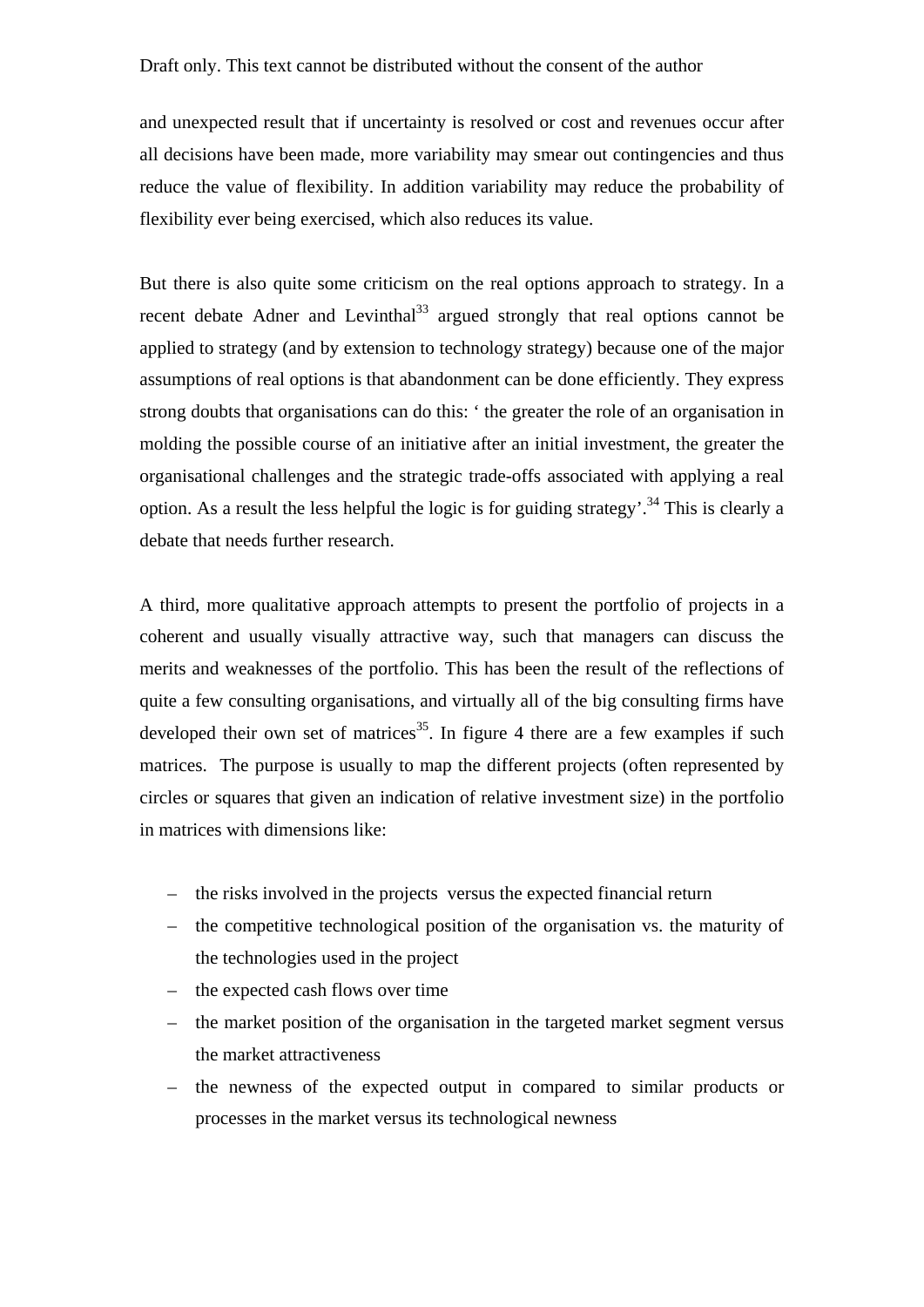and unexpected result that if uncertainty is resolved or cost and revenues occur after all decisions have been made, more variability may smear out contingencies and thus reduce the value of flexibility. In addition variability may reduce the probability of flexibility ever being exercised, which also reduces its value.

But there is also quite some criticism on the real options approach to strategy. In a recent debate Adner and Levinthal<sup>33</sup> argued strongly that real options cannot be applied to strategy (and by extension to technology strategy) because one of the major assumptions of real options is that abandonment can be done efficiently. They express strong doubts that organisations can do this: ' the greater the role of an organisation in molding the possible course of an initiative after an initial investment, the greater the organisational challenges and the strategic trade-offs associated with applying a real option. As a result the less helpful the logic is for guiding strategy'.<sup>34</sup> This is clearly a debate that needs further research.

A third, more qualitative approach attempts to present the portfolio of projects in a coherent and usually visually attractive way, such that managers can discuss the merits and weaknesses of the portfolio. This has been the result of the reflections of quite a few consulting organisations, and virtually all of the big consulting firms have developed their own set of matrices<sup>35</sup>. In figure 4 there are a few examples if such matrices. The purpose is usually to map the different projects (often represented by circles or squares that given an indication of relative investment size) in the portfolio in matrices with dimensions like:

- the risks involved in the projects versus the expected financial return
- the competitive technological position of the organisation vs. the maturity of the technologies used in the project
- the expected cash flows over time
- the market position of the organisation in the targeted market segment versus the market attractiveness
- the newness of the expected output in compared to similar products or processes in the market versus its technological newness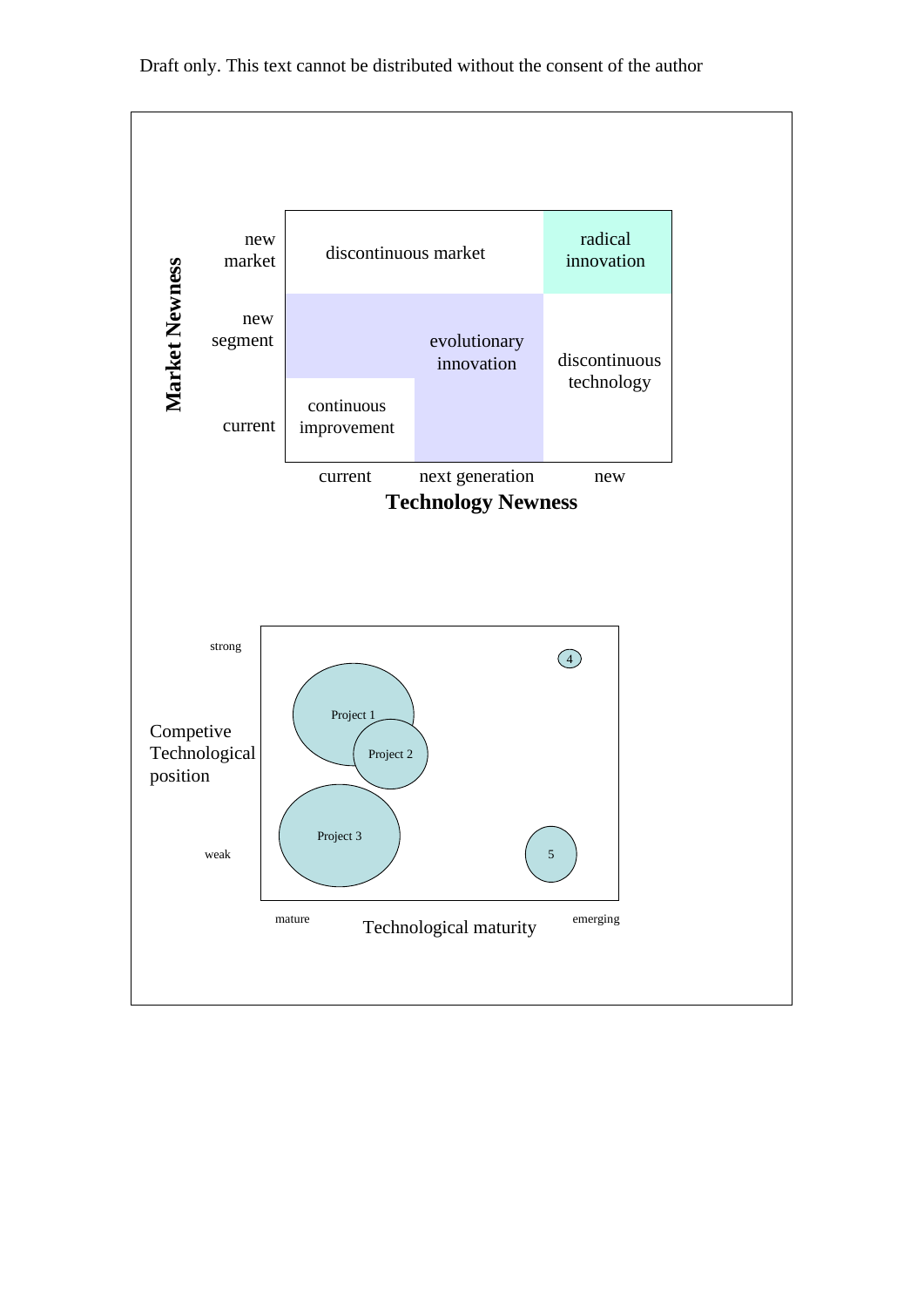

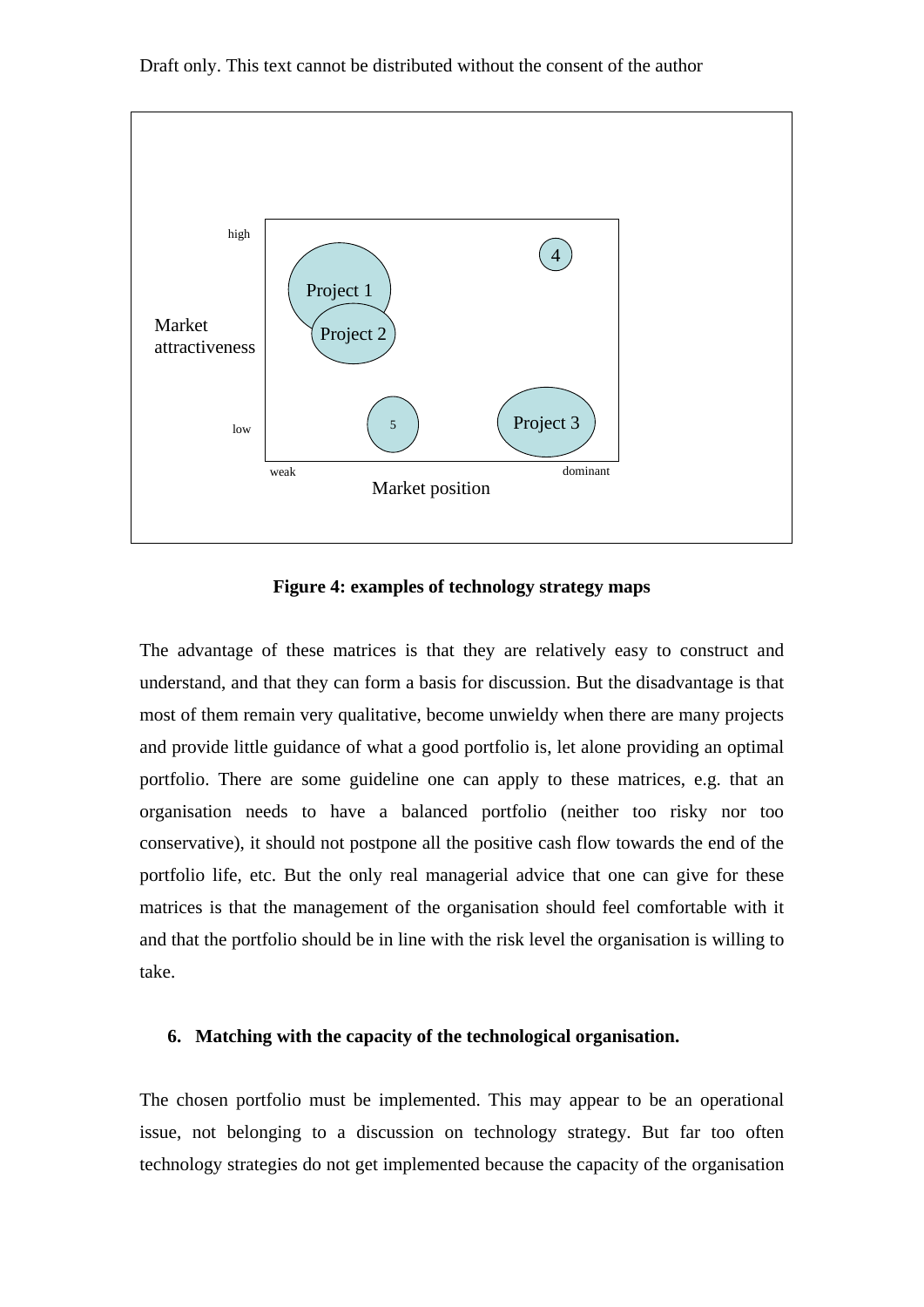

**Figure 4: examples of technology strategy maps** 

The advantage of these matrices is that they are relatively easy to construct and understand, and that they can form a basis for discussion. But the disadvantage is that most of them remain very qualitative, become unwieldy when there are many projects and provide little guidance of what a good portfolio is, let alone providing an optimal portfolio. There are some guideline one can apply to these matrices, e.g. that an organisation needs to have a balanced portfolio (neither too risky nor too conservative), it should not postpone all the positive cash flow towards the end of the portfolio life, etc. But the only real managerial advice that one can give for these matrices is that the management of the organisation should feel comfortable with it and that the portfolio should be in line with the risk level the organisation is willing to take.

#### **6. Matching with the capacity of the technological organisation.**

The chosen portfolio must be implemented. This may appear to be an operational issue, not belonging to a discussion on technology strategy. But far too often technology strategies do not get implemented because the capacity of the organisation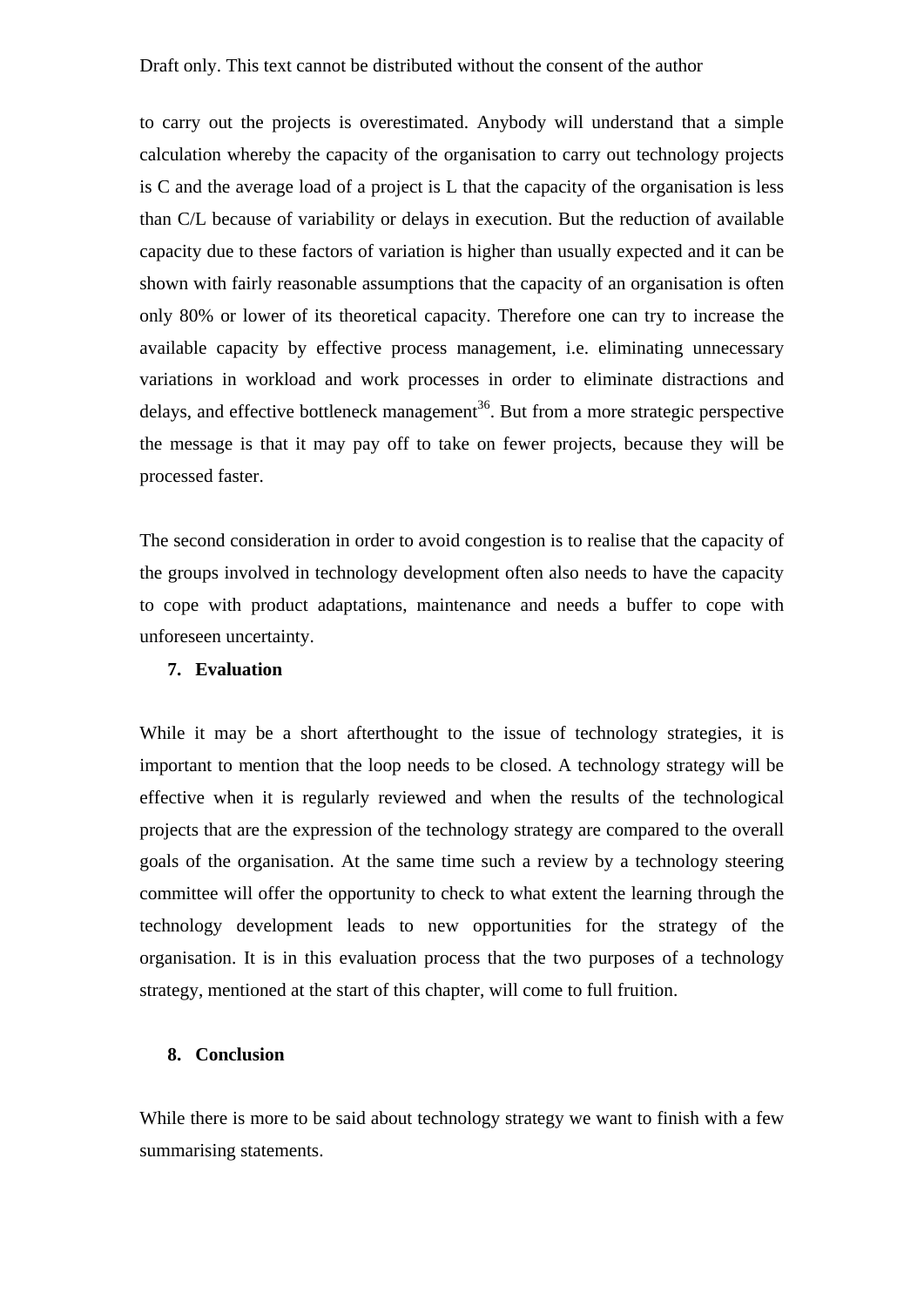to carry out the projects is overestimated. Anybody will understand that a simple calculation whereby the capacity of the organisation to carry out technology projects is C and the average load of a project is L that the capacity of the organisation is less than C/L because of variability or delays in execution. But the reduction of available capacity due to these factors of variation is higher than usually expected and it can be shown with fairly reasonable assumptions that the capacity of an organisation is often only 80% or lower of its theoretical capacity. Therefore one can try to increase the available capacity by effective process management, i.e. eliminating unnecessary variations in workload and work processes in order to eliminate distractions and delays, and effective bottleneck management<sup>36</sup>. But from a more strategic perspective the message is that it may pay off to take on fewer projects, because they will be processed faster.

The second consideration in order to avoid congestion is to realise that the capacity of the groups involved in technology development often also needs to have the capacity to cope with product adaptations, maintenance and needs a buffer to cope with unforeseen uncertainty.

#### **7. Evaluation**

While it may be a short afterthought to the issue of technology strategies, it is important to mention that the loop needs to be closed. A technology strategy will be effective when it is regularly reviewed and when the results of the technological projects that are the expression of the technology strategy are compared to the overall goals of the organisation. At the same time such a review by a technology steering committee will offer the opportunity to check to what extent the learning through the technology development leads to new opportunities for the strategy of the organisation. It is in this evaluation process that the two purposes of a technology strategy, mentioned at the start of this chapter, will come to full fruition.

#### **8. Conclusion**

While there is more to be said about technology strategy we want to finish with a few summarising statements.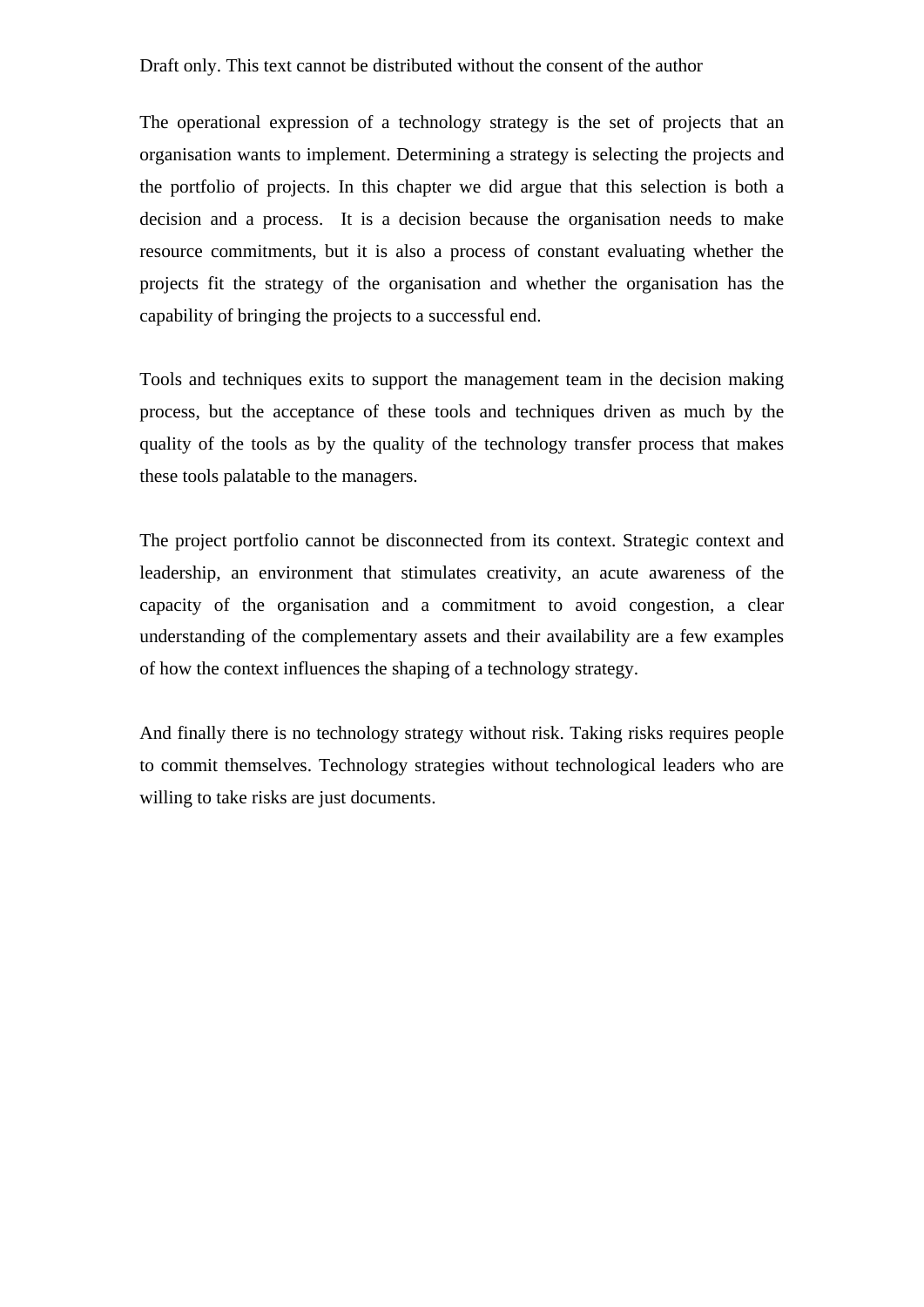The operational expression of a technology strategy is the set of projects that an organisation wants to implement. Determining a strategy is selecting the projects and the portfolio of projects. In this chapter we did argue that this selection is both a decision and a process. It is a decision because the organisation needs to make resource commitments, but it is also a process of constant evaluating whether the projects fit the strategy of the organisation and whether the organisation has the capability of bringing the projects to a successful end.

Tools and techniques exits to support the management team in the decision making process, but the acceptance of these tools and techniques driven as much by the quality of the tools as by the quality of the technology transfer process that makes these tools palatable to the managers.

The project portfolio cannot be disconnected from its context. Strategic context and leadership, an environment that stimulates creativity, an acute awareness of the capacity of the organisation and a commitment to avoid congestion, a clear understanding of the complementary assets and their availability are a few examples of how the context influences the shaping of a technology strategy.

And finally there is no technology strategy without risk. Taking risks requires people to commit themselves. Technology strategies without technological leaders who are willing to take risks are just documents.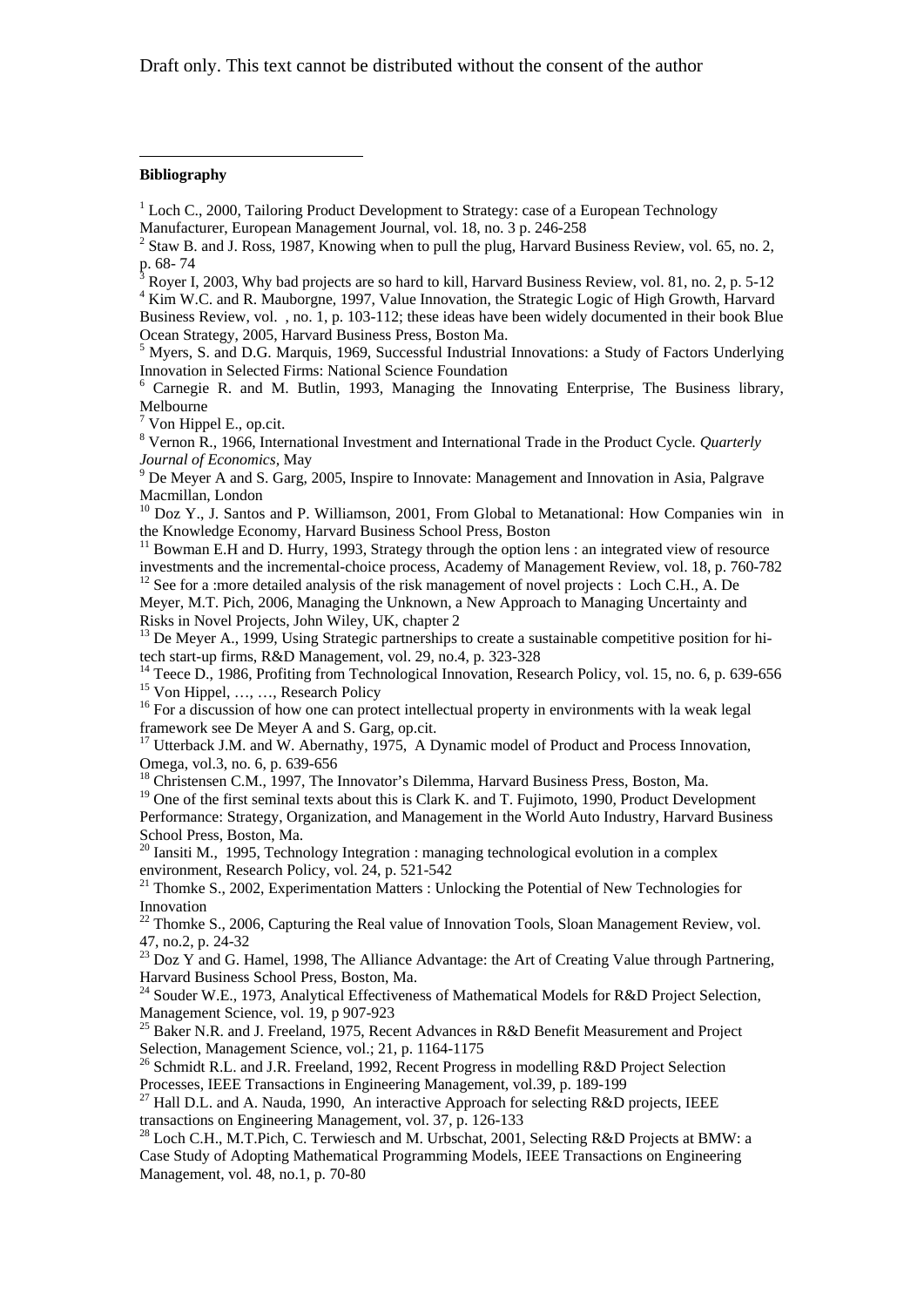#### **Bibliography**

1

<sup>5</sup> Myers, S. and D.G. Marquis, 1969, Successful Industrial Innovations: a Study of Factors Underlying Innovation in Selected Firms: National Science Foundation

<sup>10</sup> Doz Y., J. Santos and P. Williamson, 2001, From Global to Metanational: How Companies win in the Knowledge Economy, Harvard Business School Press, Boston

<sup>11</sup> Bowman E.H and D. Hurry, 1993, Strategy through the option lens : an integrated view of resource investments and the incremental-choice process, Academy of Management Review, vol. 18, p. 760-782  $12$  See for a :more detailed analysis of the risk management of novel projects : Loch C.H., A. De

Meyer, M.T. Pich, 2006, Managing the Unknown, a New Approach to Managing Uncertainty and Risks in Novel Projects, John Wiley, UK, chapter 2

<sup>13</sup> De Meyer A., 1999, Using Strategic partnerships to create a sustainable competitive position for hitech start-up firms, R&D Management, vol. 29, no.4, p. 323-328

<sup>14</sup> Teece D., 1986, Profiting from Technological Innovation, Research Policy, vol. 15, no. 6, p. 639-656 <sup>15</sup> Von Hippel, …, …, Research Policy

<sup>16</sup> For a discussion of how one can protect intellectual property in environments with la weak legal framework see De Meyer A and S. Garg, op.cit.

<sup>17</sup> Utterback J.M. and W. Abernathy, 1975, A Dynamic model of Product and Process Innovation, Omega, vol.3, no. 6, p. 639-656

<sup>18</sup> Christensen C.M., 1997, The Innovator's Dilemma, Harvard Business Press, Boston, Ma.

<sup>19</sup> One of the first seminal texts about this is Clark K. and T. Fujimoto, 1990, Product Development Performance: Strategy, Organization, and Management in the World Auto Industry, Harvard Business

School Press, Boston, Ma.  $20$  Iansiti M., 1995, Technology Integration : managing technological evolution in a complex

environment, Research Policy, vol. 24, p. 521-542

<sup>21</sup> Thomke S., 2002, Experimentation Matters : Unlocking the Potential of New Technologies for Innovation

<sup>22</sup> Thomke S., 2006, Capturing the Real value of Innovation Tools, Sloan Management Review, vol. 47, no.2, p. 24-32

 $^{23}$  Doz Y and G. Hamel, 1998, The Alliance Advantage: the Art of Creating Value through Partnering, Harvard Business School Press, Boston, Ma.

<sup>24</sup> Souder W.E., 1973, Analytical Effectiveness of Mathematical Models for R&D Project Selection, Management Science, vol. 19, p 907-923

<sup>25</sup> Baker N.R. and J. Freeland, 1975, Recent Advances in R&D Benefit Measurement and Project Selection, Management Science, vol.; 21, p. 1164-1175

<sup>26</sup> Schmidt R.L. and J.R. Freeland, 1992, Recent Progress in modelling R&D Project Selection Processes, IEEE Transactions in Engineering Management, vol.39, p. 189-199

<sup>27</sup> Hall D.L. and A. Nauda, 1990, An interactive Approach for selecting R&D projects, IEEE transactions on Engineering Management, vol. 37, p. 126-133

<sup>28</sup> Loch C.H., M.T. Pich, C. Terwiesch and M. Urbschat, 2001, Selecting R&D Projects at BMW: a Case Study of Adopting Mathematical Programming Models, IEEE Transactions on Engineering Management, vol. 48, no.1, p. 70-80

<sup>&</sup>lt;sup>1</sup> Loch C., 2000, Tailoring Product Development to Strategy: case of a European Technology

Manufacturer, European Management Journal, vol. 18, no. 3 p. 246-258

<sup>&</sup>lt;sup>2</sup> Staw B. and J. Ross, 1987, Knowing when to pull the plug, Harvard Business Review, vol. 65, no. 2, p. 68- 74

<sup>3</sup> Royer I, 2003, Why bad projects are so hard to kill, Harvard Business Review, vol. 81, no. 2, p. 5-12 4

<sup>&</sup>lt;sup>4</sup> Kim W.C. and R. Mauborgne, 1997, Value Innovation, the Strategic Logic of High Growth, Harvard Business Review, vol. , no. 1, p. 103-112; these ideas have been widely documented in their book Blue Ocean Strategy, 2005, Harvard Business Press, Boston Ma. 5

<sup>&</sup>lt;sup>6</sup> Carnegie R. and M. Butlin, 1993, Managing the Innovating Enterprise, The Business library, Melbourne

<sup>7</sup> Von Hippel E., op.cit.

<sup>8</sup> Vernon R., 1966, International Investment and International Trade in the Product Cycle*. Quarterly*  Journal of Economics, May<br><sup>9</sup> De Meyer A and S. Garg, 2005, Inspire to Innovate: Management and Innovation in Asia, Palgrave

Macmillan, London